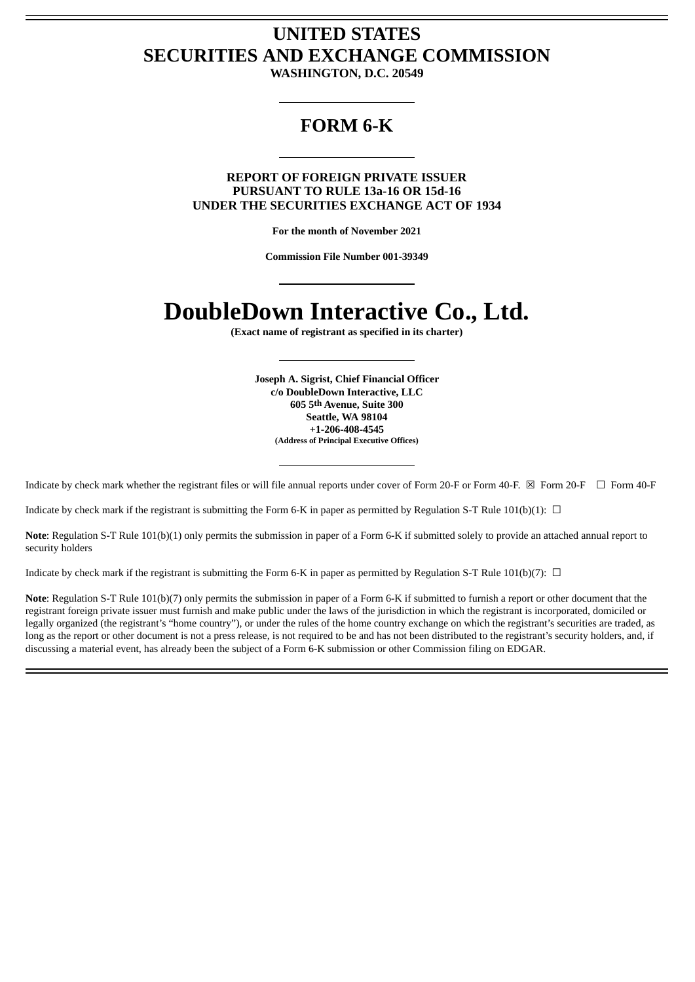# **UNITED STATES SECURITIES AND EXCHANGE COMMISSION**

**WASHINGTON, D.C. 20549**

# **FORM 6-K**

# **REPORT OF FOREIGN PRIVATE ISSUER PURSUANT TO RULE 13a-16 OR 15d-16 UNDER THE SECURITIES EXCHANGE ACT OF 1934**

**For the month of November 2021**

**Commission File Number 001-39349**

# **DoubleDown Interactive Co., Ltd.**

**(Exact name of registrant as specified in its charter)**

**Joseph A. Sigrist, Chief Financial Officer c/o DoubleDown Interactive, LLC 605 5th Avenue, Suite 300 Seattle, WA 98104 +1-206-408-4545 (Address of Principal Executive Offices)**

Indicate by check mark whether the registrant files or will file annual reports under cover of Form 20-F or Form 40-F. ⊠ Form 20-F □ Form 40-F

Indicate by check mark if the registrant is submitting the Form 6-K in paper as permitted by Regulation S-T Rule 101(b)(1):  $\Box$ 

**Note**: Regulation S-T Rule 101(b)(1) only permits the submission in paper of a Form 6-K if submitted solely to provide an attached annual report to security holders

Indicate by check mark if the registrant is submitting the Form 6-K in paper as permitted by Regulation S-T Rule 101(b)(7):  $\Box$ 

**Note**: Regulation S-T Rule 101(b)(7) only permits the submission in paper of a Form 6-K if submitted to furnish a report or other document that the registrant foreign private issuer must furnish and make public under the laws of the jurisdiction in which the registrant is incorporated, domiciled or legally organized (the registrant's "home country"), or under the rules of the home country exchange on which the registrant's securities are traded, as long as the report or other document is not a press release, is not required to be and has not been distributed to the registrant's security holders, and, if discussing a material event, has already been the subject of a Form 6-K submission or other Commission filing on EDGAR.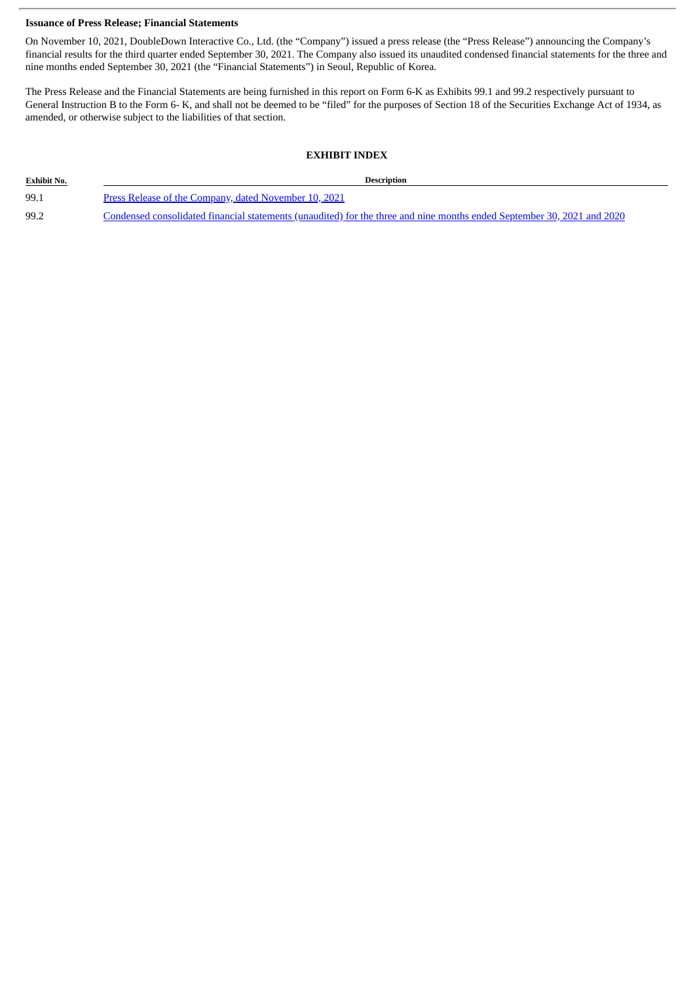# **Issuance of Press Release; Financial Statements**

On November 10, 2021, DoubleDown Interactive Co., Ltd. (the "Company") issued a press release (the "Press Release") announcing the Company's financial results for the third quarter ended September 30, 2021. The Company also issued its unaudited condensed financial statements for the three and nine months ended September 30, 2021 (the "Financial Statements") in Seoul, Republic of Korea.

The Press Release and the Financial Statements are being furnished in this report on Form 6-K as Exhibits 99.1 and 99.2 respectively pursuant to General Instruction B to the Form 6- K, and shall not be deemed to be "filed" for the purposes of Section 18 of the Securities Exchange Act of 1934, as amended, or otherwise subject to the liabilities of that section.

# **EXHIBIT INDEX**

| <b>Exhibit No.</b> | <b>Description</b>                                                                                                      |
|--------------------|-------------------------------------------------------------------------------------------------------------------------|
| 99.1               | Press Release of the Company, dated November 10, 2021                                                                   |
| 99.2               | Condensed consolidated financial statements (unaudited) for the three and nine months ended September 30, 2021 and 2020 |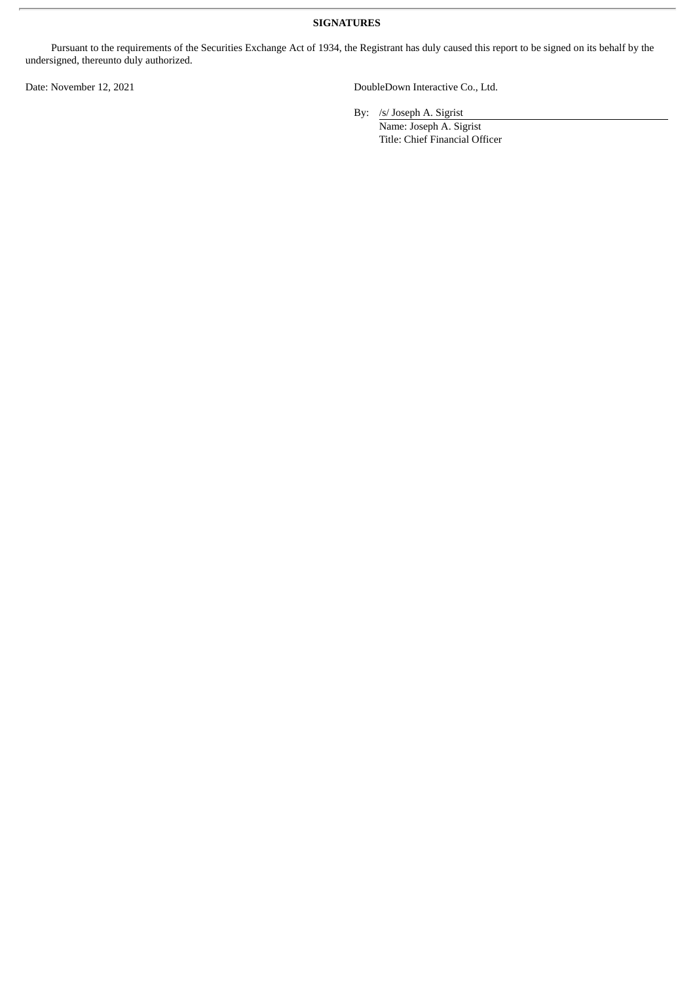# **SIGNATURES**

Pursuant to the requirements of the Securities Exchange Act of 1934, the Registrant has duly caused this report to be signed on its behalf by the undersigned, thereunto duly authorized.

Date: November 12, 2021 **DoubleDown Interactive Co., Ltd.** 

By: /s/ Joseph A. Sigrist

Name: Joseph A. Sigrist Title: Chief Financial Officer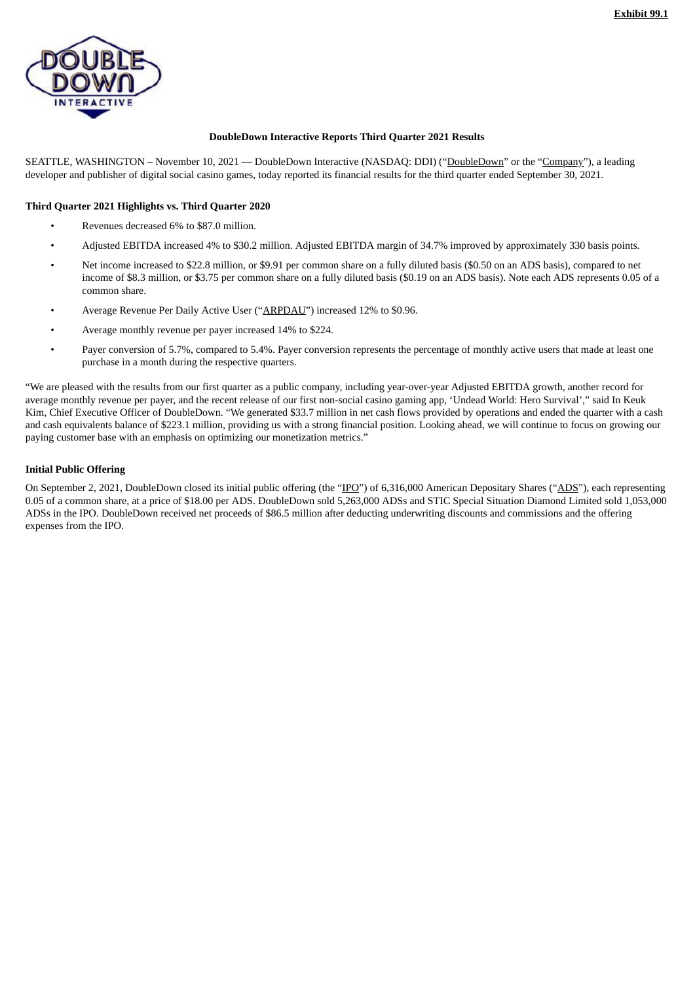<span id="page-3-0"></span>

# **DoubleDown Interactive Reports Third Quarter 2021 Results**

SEATTLE, WASHINGTON – November 10, 2021 — DoubleDown Interactive (NASDAQ: DDI) ("DoubleDown" or the "Company"), a leading developer and publisher of digital social casino games, today reported its financial results for the third quarter ended September 30, 2021.

# **Third Quarter 2021 Highlights vs. Third Quarter 2020**

- Revenues decreased 6% to \$87.0 million.
- Adjusted EBITDA increased 4% to \$30.2 million. Adjusted EBITDA margin of 34.7% improved by approximately 330 basis points.
- Net income increased to \$22.8 million, or \$9.91 per common share on a fully diluted basis (\$0.50 on an ADS basis), compared to net income of \$8.3 million, or \$3.75 per common share on a fully diluted basis (\$0.19 on an ADS basis). Note each ADS represents 0.05 of a common share.
- Average Revenue Per Daily Active User ("ARPDAU") increased 12% to \$0.96.
- Average monthly revenue per payer increased 14% to \$224.
- Payer conversion of 5.7%, compared to 5.4%. Payer conversion represents the percentage of monthly active users that made at least one purchase in a month during the respective quarters.

"We are pleased with the results from our first quarter as a public company, including year-over-year Adjusted EBITDA growth, another record for average monthly revenue per payer, and the recent release of our first non-social casino gaming app, 'Undead World: Hero Survival'," said In Keuk Kim, Chief Executive Officer of DoubleDown. "We generated \$33.7 million in net cash flows provided by operations and ended the quarter with a cash and cash equivalents balance of \$223.1 million, providing us with a strong financial position. Looking ahead, we will continue to focus on growing our paying customer base with an emphasis on optimizing our monetization metrics."

# **Initial Public Offering**

On September 2, 2021, DoubleDown closed its initial public offering (the "IPO") of 6,316,000 American Depositary Shares ("ADS"), each representing 0.05 of a common share, at a price of \$18.00 per ADS. DoubleDown sold 5,263,000 ADSs and STIC Special Situation Diamond Limited sold 1,053,000 ADSs in the IPO. DoubleDown received net proceeds of \$86.5 million after deducting underwriting discounts and commissions and the offering expenses from the IPO.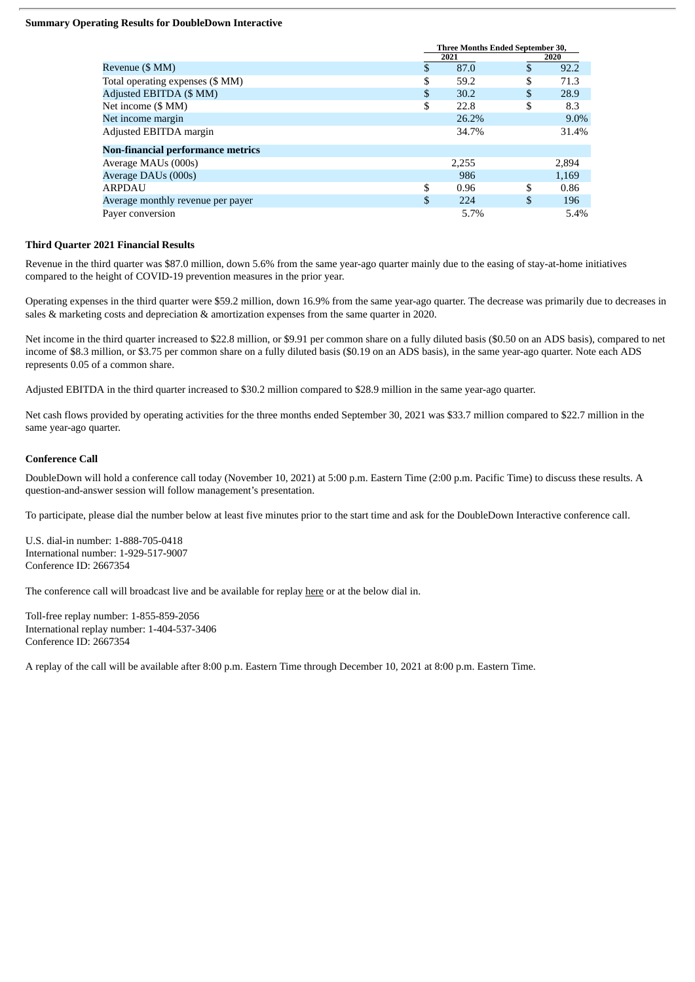# **Summary Operating Results for DoubleDown Interactive**

|                                          | <b>Three Months Ended September 30,</b> |    |       |  |  |
|------------------------------------------|-----------------------------------------|----|-------|--|--|
|                                          | 2021                                    |    | 2020  |  |  |
| Revenue (\$ MM)                          | \$<br>87.0                              | \$ | 92.2  |  |  |
| Total operating expenses (\$ MM)         | \$<br>59.2                              | \$ | 71.3  |  |  |
| Adjusted EBITDA (\$ MM)                  | \$<br>30.2                              | \$ | 28.9  |  |  |
| Net income (\$ MM)                       | \$<br>22.8                              | S  | 8.3   |  |  |
| Net income margin                        | 26.2%                                   |    | 9.0%  |  |  |
| Adjusted EBITDA margin                   | 34.7%                                   |    | 31.4% |  |  |
| <b>Non-financial performance metrics</b> |                                         |    |       |  |  |
| Average MAUs (000s)                      | 2,255                                   |    | 2,894 |  |  |
| Average DAUs (000s)                      | 986                                     |    | 1,169 |  |  |
| <b>ARPDAU</b>                            | \$<br>0.96                              | \$ | 0.86  |  |  |
| Average monthly revenue per payer        | \$<br>224                               | \$ | 196   |  |  |
| Paver conversion                         | 5.7%                                    |    | 5.4%  |  |  |

### **Third Quarter 2021 Financial Results**

Revenue in the third quarter was \$87.0 million, down 5.6% from the same year-ago quarter mainly due to the easing of stay-at-home initiatives compared to the height of COVID-19 prevention measures in the prior year.

Operating expenses in the third quarter were \$59.2 million, down 16.9% from the same year-ago quarter. The decrease was primarily due to decreases in sales & marketing costs and depreciation & amortization expenses from the same quarter in 2020.

Net income in the third quarter increased to \$22.8 million, or \$9.91 per common share on a fully diluted basis (\$0.50 on an ADS basis), compared to net income of \$8.3 million, or \$3.75 per common share on a fully diluted basis (\$0.19 on an ADS basis), in the same year-ago quarter. Note each ADS represents 0.05 of a common share.

Adjusted EBITDA in the third quarter increased to \$30.2 million compared to \$28.9 million in the same year-ago quarter.

Net cash flows provided by operating activities for the three months ended September 30, 2021 was \$33.7 million compared to \$22.7 million in the same year-ago quarter.

# **Conference Call**

DoubleDown will hold a conference call today (November 10, 2021) at 5:00 p.m. Eastern Time (2:00 p.m. Pacific Time) to discuss these results. A question-and-answer session will follow management's presentation.

To participate, please dial the number below at least five minutes prior to the start time and ask for the DoubleDown Interactive conference call.

U.S. dial-in number: 1-888-705-0418 International number: 1-929-517-9007 Conference ID: 2667354

The conference call will broadcast live and be available for replay here or at the below dial in.

Toll-free replay number: 1-855-859-2056 International replay number: 1-404-537-3406 Conference ID: 2667354

A replay of the call will be available after 8:00 p.m. Eastern Time through December 10, 2021 at 8:00 p.m. Eastern Time.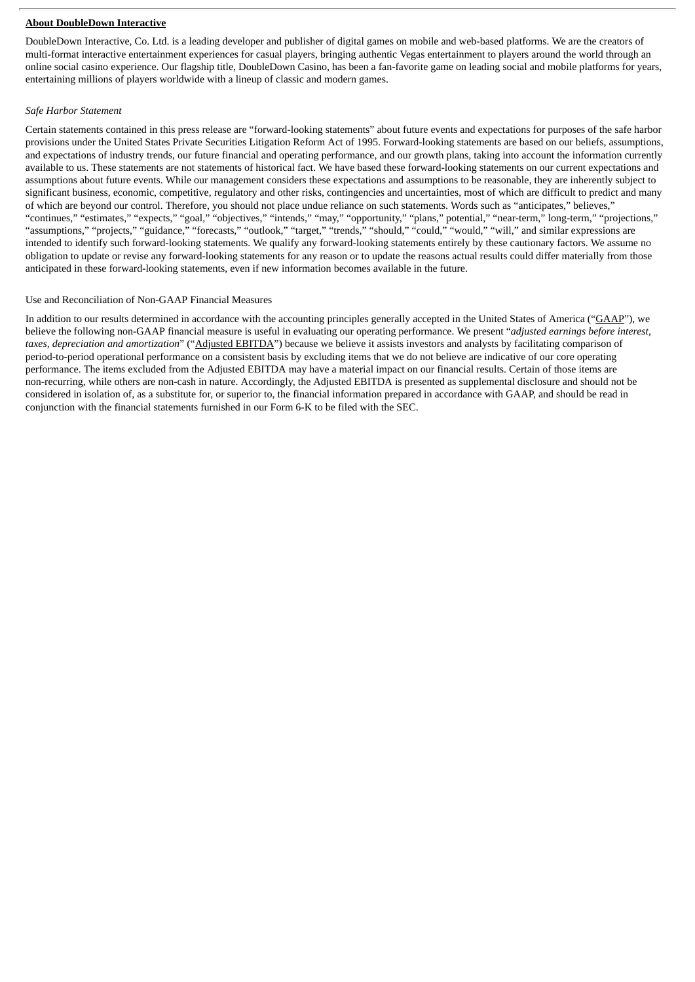# **About DoubleDown Interactive**

DoubleDown Interactive, Co. Ltd. is a leading developer and publisher of digital games on mobile and web-based platforms. We are the creators of multi-format interactive entertainment experiences for casual players, bringing authentic Vegas entertainment to players around the world through an online social casino experience. Our flagship title, DoubleDown Casino, has been a fan-favorite game on leading social and mobile platforms for years, entertaining millions of players worldwide with a lineup of classic and modern games.

#### *Safe Harbor Statement*

Certain statements contained in this press release are "forward-looking statements" about future events and expectations for purposes of the safe harbor provisions under the United States Private Securities Litigation Reform Act of 1995. Forward-looking statements are based on our beliefs, assumptions, and expectations of industry trends, our future financial and operating performance, and our growth plans, taking into account the information currently available to us. These statements are not statements of historical fact. We have based these forward-looking statements on our current expectations and assumptions about future events. While our management considers these expectations and assumptions to be reasonable, they are inherently subject to significant business, economic, competitive, regulatory and other risks, contingencies and uncertainties, most of which are difficult to predict and many of which are beyond our control. Therefore, you should not place undue reliance on such statements. Words such as "anticipates," believes," "continues," "estimates," "expects," "goal," "objectives," "intends," "may," "opportunity," "plans," potential," "near-term," long-term," "projections," "assumptions," "projects," "guidance," "forecasts," "outlook," "target," "trends," "should," "could," "would," "will," and similar expressions are intended to identify such forward-looking statements. We qualify any forward-looking statements entirely by these cautionary factors. We assume no obligation to update or revise any forward-looking statements for any reason or to update the reasons actual results could differ materially from those anticipated in these forward-looking statements, even if new information becomes available in the future.

### Use and Reconciliation of Non-GAAP Financial Measures

In addition to our results determined in accordance with the accounting principles generally accepted in the United States of America ("GAAP"), we believe the following non-GAAP financial measure is useful in evaluating our operating performance. We present "*adjusted earnings before interest, taxes, depreciation and amortization*" ("Adjusted EBITDA") because we believe it assists investors and analysts by facilitating comparison of period-to-period operational performance on a consistent basis by excluding items that we do not believe are indicative of our core operating performance. The items excluded from the Adjusted EBITDA may have a material impact on our financial results. Certain of those items are non-recurring, while others are non-cash in nature. Accordingly, the Adjusted EBITDA is presented as supplemental disclosure and should not be considered in isolation of, as a substitute for, or superior to, the financial information prepared in accordance with GAAP, and should be read in conjunction with the financial statements furnished in our Form 6-K to be filed with the SEC.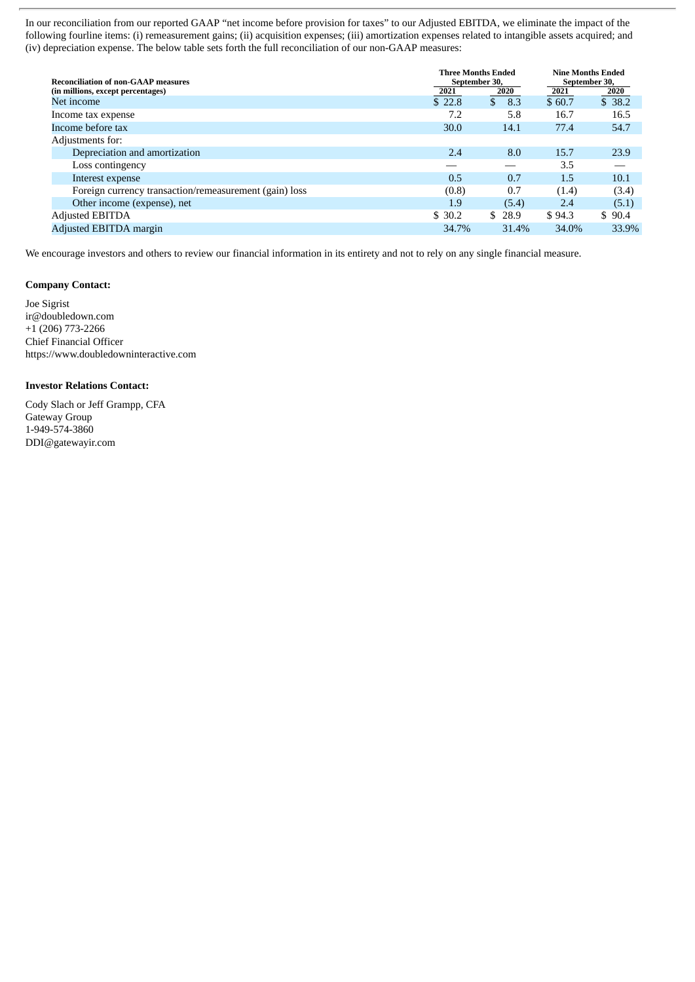In our reconciliation from our reported GAAP "net income before provision for taxes" to our Adjusted EBITDA, we eliminate the impact of the following fourline items: (i) remeasurement gains; (ii) acquisition expenses; (iii) amortization expenses related to intangible assets acquired; and (iv) depreciation expense. The below table sets forth the full reconciliation of our non-GAAP measures:

| <b>Reconciliation of non-GAAP measures</b>             | <b>Three Months Ended</b><br>September 30, | <b>Nine Months Ended</b><br>September 30, |        |        |
|--------------------------------------------------------|--------------------------------------------|-------------------------------------------|--------|--------|
| (in millions, except percentages)                      | 2021                                       | 2020                                      | 2021   | 2020   |
| Net income                                             | \$22.8                                     | $\mathbb{S}$<br>8.3                       | \$60.7 | \$38.2 |
| Income tax expense                                     | 7.2                                        | 5.8                                       | 16.7   | 16.5   |
| Income before tax                                      | 30.0                                       | 14.1                                      | 77.4   | 54.7   |
| Adjustments for:                                       |                                            |                                           |        |        |
| Depreciation and amortization                          | 2.4                                        | 8.0                                       | 15.7   | 23.9   |
| Loss contingency                                       |                                            |                                           | 3.5    |        |
| Interest expense                                       | 0.5                                        | 0.7                                       | 1.5    | 10.1   |
| Foreign currency transaction/remeasurement (gain) loss | (0.8)                                      | 0.7                                       | (1.4)  | (3.4)  |
| Other income (expense), net                            | 1.9                                        | (5.4)                                     | 2.4    | (5.1)  |
| <b>Adjusted EBITDA</b>                                 | \$30.2                                     | \$28.9                                    | \$94.3 | \$90.4 |
| Adjusted EBITDA margin                                 | 34.7%                                      | 31.4%                                     | 34.0%  | 33.9%  |

We encourage investors and others to review our financial information in its entirety and not to rely on any single financial measure.

# **Company Contact:**

Joe Sigrist ir@doubledown.com  $+1$  (206) 773-2266 Chief Financial Officer https://www.doubledowninteractive.com

# **Investor Relations Contact:**

Cody Slach or Jeff Grampp, CFA Gateway Group 1-949-574-3860 DDI@gatewayir.com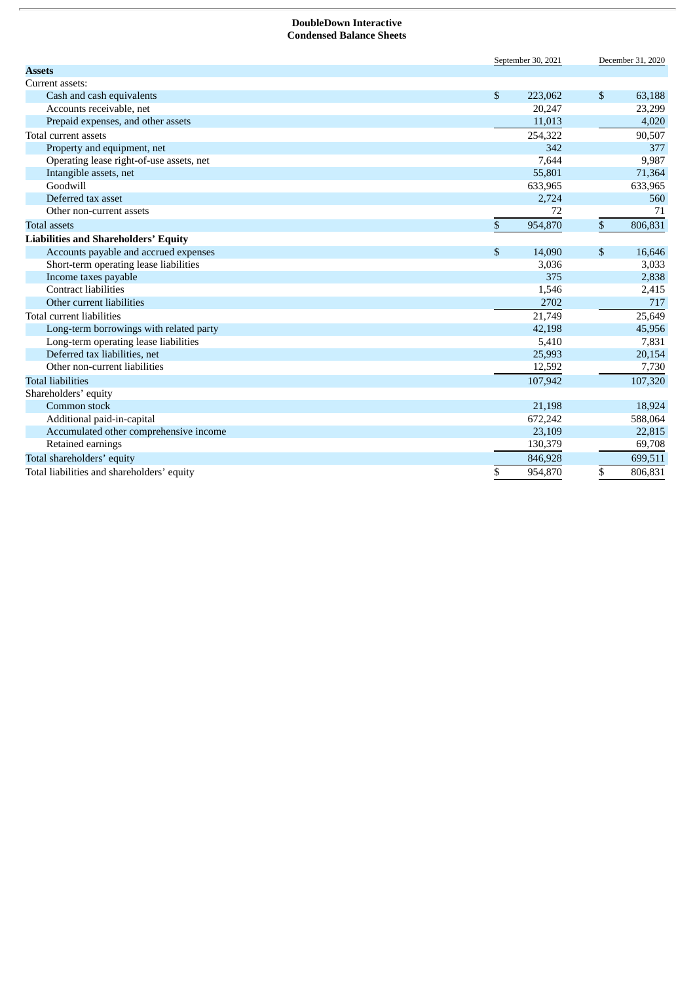#### **DoubleDown Interactive Condensed Balance Sheets**

|                                             |              | September 30, 2021 | December 31, 2020 |         |  |
|---------------------------------------------|--------------|--------------------|-------------------|---------|--|
| <b>Assets</b>                               |              |                    |                   |         |  |
| Current assets:                             |              |                    |                   |         |  |
| Cash and cash equivalents                   | \$           | 223,062            | \$                | 63,188  |  |
| Accounts receivable, net                    |              | 20,247             |                   | 23,299  |  |
| Prepaid expenses, and other assets          |              | 11,013             |                   | 4,020   |  |
| Total current assets                        |              | 254,322            |                   | 90,507  |  |
| Property and equipment, net                 |              | 342                |                   | 377     |  |
| Operating lease right-of-use assets, net    |              | 7,644              |                   | 9,987   |  |
| Intangible assets, net                      |              | 55,801             |                   | 71,364  |  |
| Goodwill                                    |              | 633,965            |                   | 633,965 |  |
| Deferred tax asset                          |              | 2,724              |                   | 560     |  |
| Other non-current assets                    |              | 72                 |                   | 71      |  |
| <b>Total assets</b>                         | $\mathbb{S}$ | 954,870            | \$                | 806,831 |  |
| <b>Liabilities and Shareholders' Equity</b> |              |                    |                   |         |  |
| Accounts payable and accrued expenses       | \$           | 14,090             | \$                | 16,646  |  |
| Short-term operating lease liabilities      |              | 3,036              |                   | 3,033   |  |
| Income taxes payable                        |              | 375                |                   | 2,838   |  |
| <b>Contract liabilities</b>                 |              | 1,546              |                   | 2,415   |  |
| Other current liabilities                   |              | 2702               |                   | 717     |  |
| Total current liabilities                   |              | 21,749             |                   | 25,649  |  |
| Long-term borrowings with related party     |              | 42,198             |                   | 45,956  |  |
| Long-term operating lease liabilities       |              | 5,410              |                   | 7,831   |  |
| Deferred tax liabilities, net               |              | 25,993             |                   | 20,154  |  |
| Other non-current liabilities               |              | 12,592             |                   | 7,730   |  |
| <b>Total liabilities</b>                    |              | 107,942            |                   | 107,320 |  |
| Shareholders' equity                        |              |                    |                   |         |  |
| Common stock                                |              | 21,198             |                   | 18,924  |  |
| Additional paid-in-capital                  |              | 672,242            |                   | 588,064 |  |
| Accumulated other comprehensive income      |              | 23,109             |                   | 22,815  |  |
| Retained earnings                           |              | 130,379            |                   | 69,708  |  |
| Total shareholders' equity                  |              | 846,928            |                   | 699,511 |  |
| Total liabilities and shareholders' equity  | \$           | 954.870            | \$                | 806.831 |  |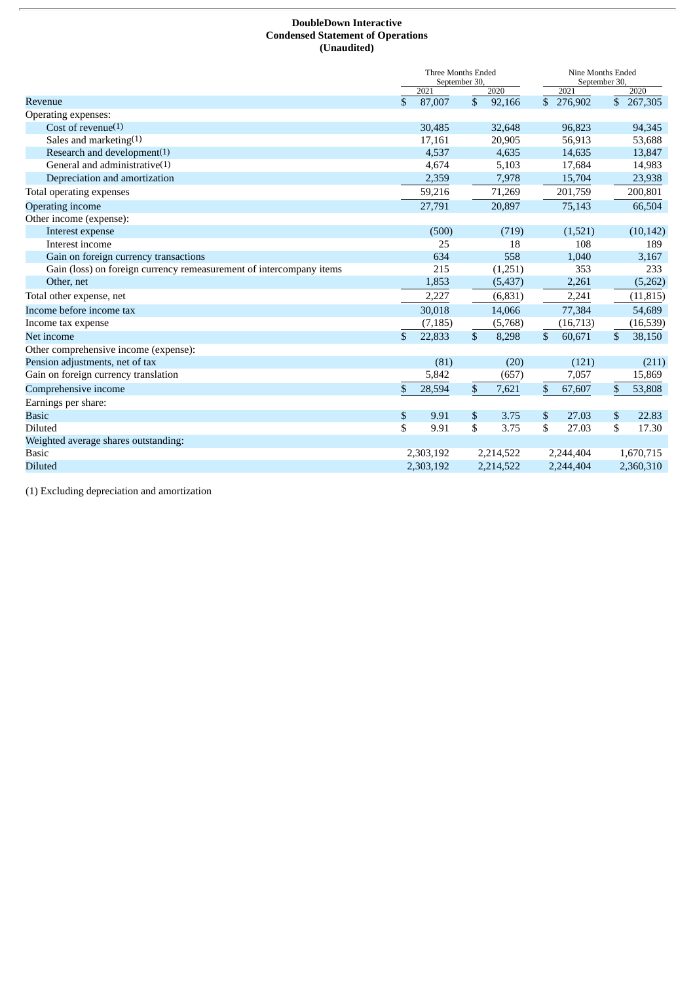# **DoubleDown Interactive Condensed Statement of Operations (Unaudited)**

|                                                                     | Three Months Ended<br>September 30, |              | Nine Months Ended<br>September 30, |    |           |                         |
|---------------------------------------------------------------------|-------------------------------------|--------------|------------------------------------|----|-----------|-------------------------|
|                                                                     | 2021                                |              | 2020                               |    | 2021      | 2020                    |
| Revenue                                                             | \$<br>87,007                        | $\mathbb{S}$ | 92,166                             |    | \$276,902 | $\overline{\$}$ 267,305 |
| Operating expenses:                                                 |                                     |              |                                    |    |           |                         |
| Cost of revenue $(1)$                                               | 30,485                              |              | 32,648                             |    | 96,823    | 94,345                  |
| Sales and marketing(1)                                              | 17,161                              |              | 20,905                             |    | 56,913    | 53,688                  |
| Research and development(1)                                         | 4,537                               |              | 4,635                              |    | 14,635    | 13,847                  |
| General and administrative $(1)$                                    | 4,674                               |              | 5,103                              |    | 17,684    | 14,983                  |
| Depreciation and amortization                                       | 2,359                               |              | 7,978                              |    | 15,704    | 23,938                  |
| Total operating expenses                                            | 59,216                              |              | 71,269                             |    | 201,759   | 200,801                 |
| Operating income                                                    | 27,791                              |              | 20,897                             |    | 75,143    | 66,504                  |
| Other income (expense):                                             |                                     |              |                                    |    |           |                         |
| Interest expense                                                    | (500)                               |              | (719)                              |    | (1,521)   | (10, 142)               |
| Interest income                                                     | 25                                  |              | 18                                 |    | 108       | 189                     |
| Gain on foreign currency transactions                               | 634                                 |              | 558                                |    | 1,040     | 3,167                   |
| Gain (loss) on foreign currency remeasurement of intercompany items | 215                                 |              | (1,251)                            |    | 353       | 233                     |
| Other, net                                                          | 1,853                               |              | (5, 437)                           |    | 2,261     | (5,262)                 |
| Total other expense, net                                            | 2,227                               |              | (6,831)                            |    | 2,241     | (11, 815)               |
| Income before income tax                                            | 30,018                              |              | 14,066                             |    | 77,384    | 54,689                  |
| Income tax expense                                                  | (7, 185)                            |              | (5,768)                            |    | (16, 713) | (16,539)                |
| Net income                                                          | \$<br>22,833                        | \$           | 8,298                              | \$ | 60,671    | \$<br>38,150            |
| Other comprehensive income (expense):                               |                                     |              |                                    |    |           |                         |
| Pension adjustments, net of tax                                     | (81)                                |              | (20)                               |    | (121)     | (211)                   |
| Gain on foreign currency translation                                | 5,842                               |              | (657)                              |    | 7,057     | 15,869                  |
| Comprehensive income                                                | \$<br>28,594                        | \$           | 7,621                              | \$ | 67,607    | \$<br>53,808            |
| Earnings per share:                                                 |                                     |              |                                    |    |           |                         |
| <b>Basic</b>                                                        | \$<br>9.91                          | \$           | 3.75                               | \$ | 27.03     | \$<br>22.83             |
| <b>Diluted</b>                                                      | \$<br>9.91                          | \$           | 3.75                               | \$ | 27.03     | \$<br>17.30             |
| Weighted average shares outstanding:                                |                                     |              |                                    |    |           |                         |
| <b>Basic</b>                                                        | 2,303,192                           |              | 2,214,522                          |    | 2,244,404 | 1,670,715               |
| <b>Diluted</b>                                                      | 2,303,192                           |              | 2,214,522                          |    | 2,244,404 | 2,360,310               |

(1) Excluding depreciation and amortization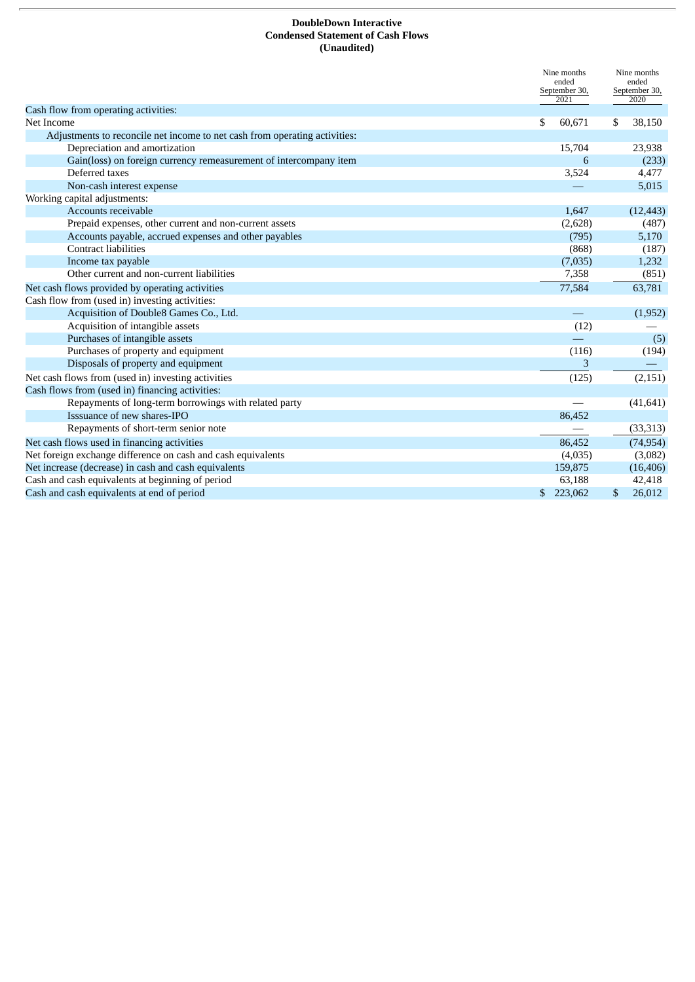## **DoubleDown Interactive Condensed Statement of Cash Flows (Unaudited)**

|                                                                            | Nine months<br>ended<br>September 30,<br>2021 |     | Nine months<br>ended<br>September 30,<br>2020 |
|----------------------------------------------------------------------------|-----------------------------------------------|-----|-----------------------------------------------|
| Cash flow from operating activities:                                       |                                               |     |                                               |
| Net Income                                                                 | \$<br>60,671                                  | \$  | 38,150                                        |
| Adjustments to reconcile net income to net cash from operating activities: |                                               |     |                                               |
| Depreciation and amortization                                              | 15,704                                        |     | 23,938                                        |
| Gain(loss) on foreign currency remeasurement of intercompany item          | 6                                             |     | (233)                                         |
| Deferred taxes                                                             | 3,524                                         |     | 4,477                                         |
| Non-cash interest expense                                                  |                                               |     | 5,015                                         |
| Working capital adjustments:                                               |                                               |     |                                               |
| Accounts receivable                                                        | 1,647                                         |     | (12, 443)                                     |
| Prepaid expenses, other current and non-current assets                     | (2,628)                                       |     | (487)                                         |
| Accounts payable, accrued expenses and other payables                      | (795)                                         |     | 5,170                                         |
| <b>Contract liabilities</b>                                                | (868)                                         |     | (187)                                         |
| Income tax payable                                                         | (7,035)                                       |     | 1,232                                         |
| Other current and non-current liabilities                                  | 7,358                                         |     | (851)                                         |
| Net cash flows provided by operating activities                            | 77,584                                        |     | 63,781                                        |
| Cash flow from (used in) investing activities:                             |                                               |     |                                               |
| Acquisition of Double8 Games Co., Ltd.                                     |                                               |     | (1,952)                                       |
| Acquisition of intangible assets                                           | (12)                                          |     |                                               |
| Purchases of intangible assets                                             |                                               |     | (5)                                           |
| Purchases of property and equipment                                        | (116)                                         |     | (194)                                         |
| Disposals of property and equipment                                        | 3                                             |     |                                               |
| Net cash flows from (used in) investing activities                         | (125)                                         |     | (2, 151)                                      |
| Cash flows from (used in) financing activities:                            |                                               |     |                                               |
| Repayments of long-term borrowings with related party                      |                                               |     | (41, 641)                                     |
| Isssuance of new shares-IPO                                                | 86,452                                        |     |                                               |
| Repayments of short-term senior note                                       |                                               |     | (33, 313)                                     |
| Net cash flows used in financing activities                                | 86,452                                        |     | (74, 954)                                     |
| Net foreign exchange difference on cash and cash equivalents               | (4,035)                                       |     | (3,082)                                       |
| Net increase (decrease) in cash and cash equivalents                       | 159,875                                       |     | (16, 406)                                     |
| Cash and cash equivalents at beginning of period                           | 63,188                                        |     | 42,418                                        |
| Cash and cash equivalents at end of period                                 | \$<br>223,062                                 | \$. | 26,012                                        |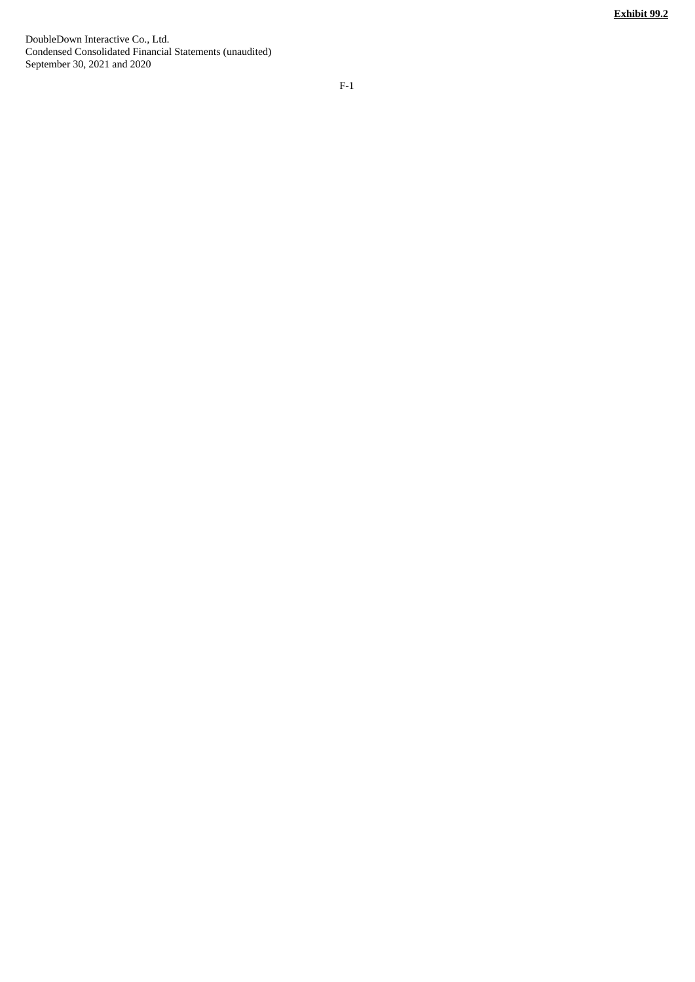<span id="page-10-0"></span>DoubleDown Interactive Co., Ltd. Condensed Consolidated Financial Statements (unaudited) September 30, 2021 and 2020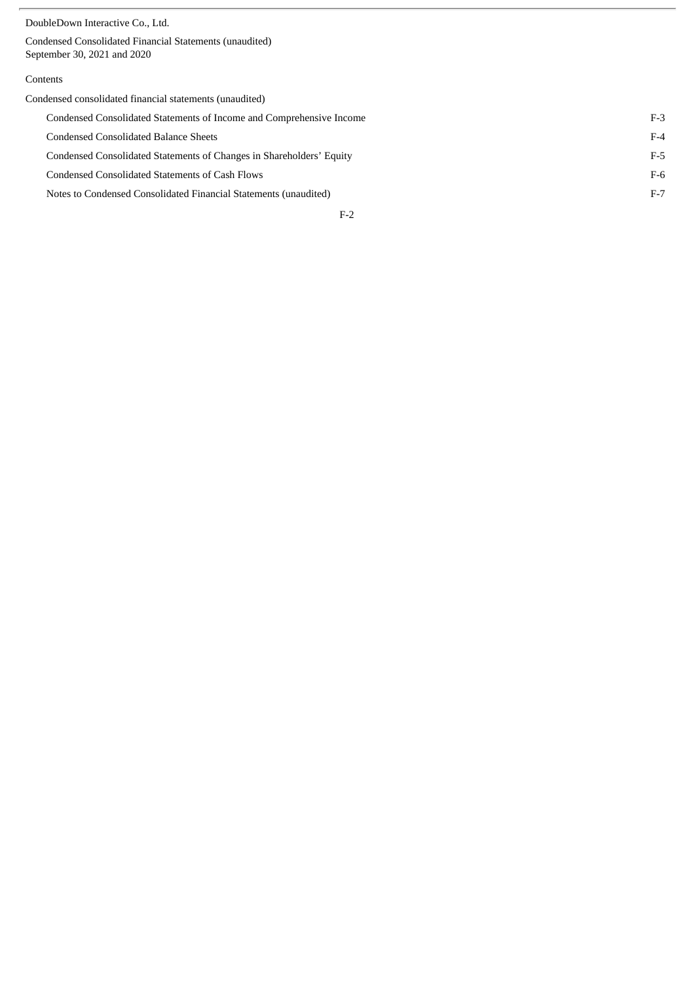Condensed Consolidated Financial Statements (unaudited) September 30, 2021 and 2020

# Contents

| Condensed consolidated financial statements (unaudited)              |       |
|----------------------------------------------------------------------|-------|
| Condensed Consolidated Statements of Income and Comprehensive Income | $F-3$ |
| Condensed Consolidated Balance Sheets                                | $F-4$ |
| Condensed Consolidated Statements of Changes in Shareholders' Equity | F-5   |
| Condensed Consolidated Statements of Cash Flows                      | $F-6$ |
| Notes to Condensed Consolidated Financial Statements (unaudited)     | $F-7$ |
| $F-2$                                                                |       |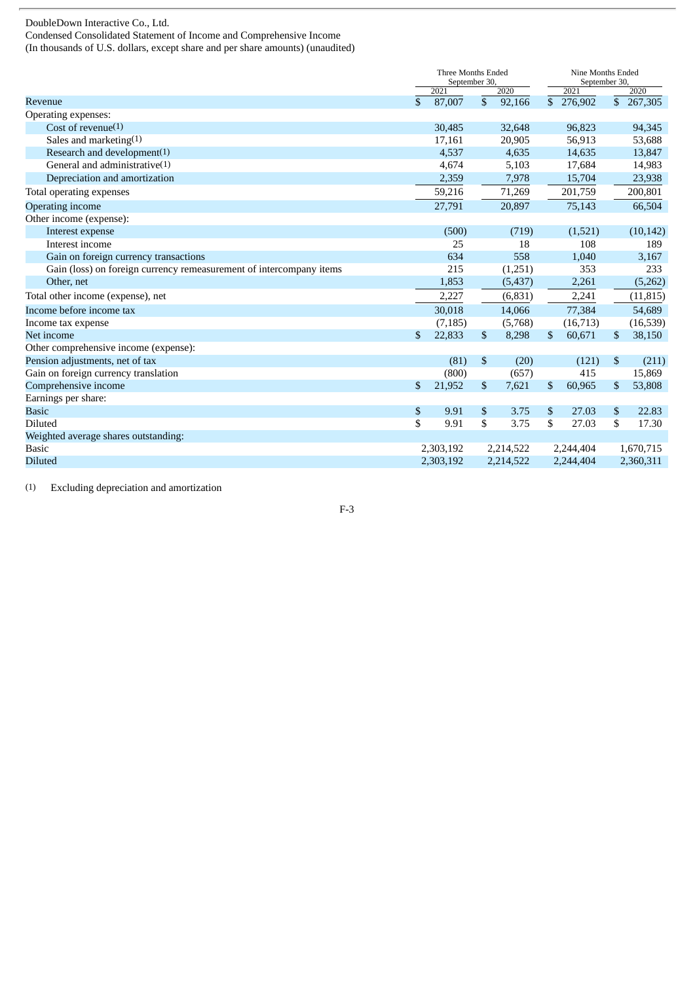Condensed Consolidated Statement of Income and Comprehensive Income

(In thousands of U.S. dollars, except share and per share amounts) (unaudited)

|                                                                     | Three Months Ended<br>September 30, |           |              | Nine Months Ended<br>September 30, |              |           |    |           |
|---------------------------------------------------------------------|-------------------------------------|-----------|--------------|------------------------------------|--------------|-----------|----|-----------|
|                                                                     |                                     | 2021      |              | 2020                               |              | 2021      |    | 2020      |
| Revenue                                                             | \$                                  | 87,007    | \$           | 92,166                             | $\mathbb{S}$ | 276,902   |    | \$267,305 |
| Operating expenses:                                                 |                                     |           |              |                                    |              |           |    |           |
| Cost of revenue $(1)$                                               |                                     | 30,485    |              | 32,648                             |              | 96,823    |    | 94,345    |
| Sales and marketing(1)                                              |                                     | 17,161    |              | 20,905                             |              | 56,913    |    | 53,688    |
| Research and development(1)                                         |                                     | 4,537     |              | 4,635                              |              | 14,635    |    | 13,847    |
| General and administrative $(1)$                                    |                                     | 4,674     |              | 5,103                              |              | 17,684    |    | 14,983    |
| Depreciation and amortization                                       |                                     | 2,359     |              | 7,978                              |              | 15,704    |    | 23,938    |
| Total operating expenses                                            |                                     | 59,216    |              | 71,269                             |              | 201,759   |    | 200,801   |
| Operating income                                                    |                                     | 27,791    |              | 20,897                             |              | 75,143    |    | 66,504    |
| Other income (expense):                                             |                                     |           |              |                                    |              |           |    |           |
| Interest expense                                                    |                                     | (500)     |              | (719)                              |              | (1,521)   |    | (10, 142) |
| Interest income                                                     |                                     | 25        |              | 18                                 |              | 108       |    | 189       |
| Gain on foreign currency transactions                               |                                     | 634       |              | 558                                |              | 1,040     |    | 3,167     |
| Gain (loss) on foreign currency remeasurement of intercompany items |                                     | 215       |              | (1,251)                            |              | 353       |    | 233       |
| Other, net                                                          |                                     | 1,853     |              | (5,437)                            |              | 2,261     |    | (5,262)   |
| Total other income (expense), net                                   |                                     | 2,227     |              | (6,831)                            |              | 2,241     |    | (11, 815) |
| Income before income tax                                            |                                     | 30,018    |              | 14,066                             |              | 77,384    |    | 54,689    |
| Income tax expense                                                  |                                     | (7, 185)  |              | (5,768)                            |              | (16,713)  |    | (16, 539) |
| Net income                                                          | $\mathbf{s}$                        | 22,833    | $\mathbb{S}$ | 8,298                              | \$           | 60,671    | \$ | 38,150    |
| Other comprehensive income (expense):                               |                                     |           |              |                                    |              |           |    |           |
| Pension adjustments, net of tax                                     |                                     | (81)      | \$           | (20)                               |              | (121)     | \$ | (211)     |
| Gain on foreign currency translation                                |                                     | (800)     |              | (657)                              |              | 415       |    | 15,869    |
| Comprehensive income                                                | \$                                  | 21,952    | $\mathbb{S}$ | 7,621                              | \$           | 60,965    | \$ | 53,808    |
| Earnings per share:                                                 |                                     |           |              |                                    |              |           |    |           |
| <b>Basic</b>                                                        | \$                                  | 9.91      | \$           | 3.75                               | \$           | 27.03     | \$ | 22.83     |
| <b>Diluted</b>                                                      | \$                                  | 9.91      | \$           | 3.75                               | \$           | 27.03     | \$ | 17.30     |
| Weighted average shares outstanding:                                |                                     |           |              |                                    |              |           |    |           |
| <b>Basic</b>                                                        |                                     | 2,303,192 |              | 2,214,522                          |              | 2,244,404 |    | 1,670,715 |
| <b>Diluted</b>                                                      |                                     | 2,303,192 |              | 2,214,522                          |              | 2,244,404 |    | 2,360,311 |

(1) Excluding depreciation and amortization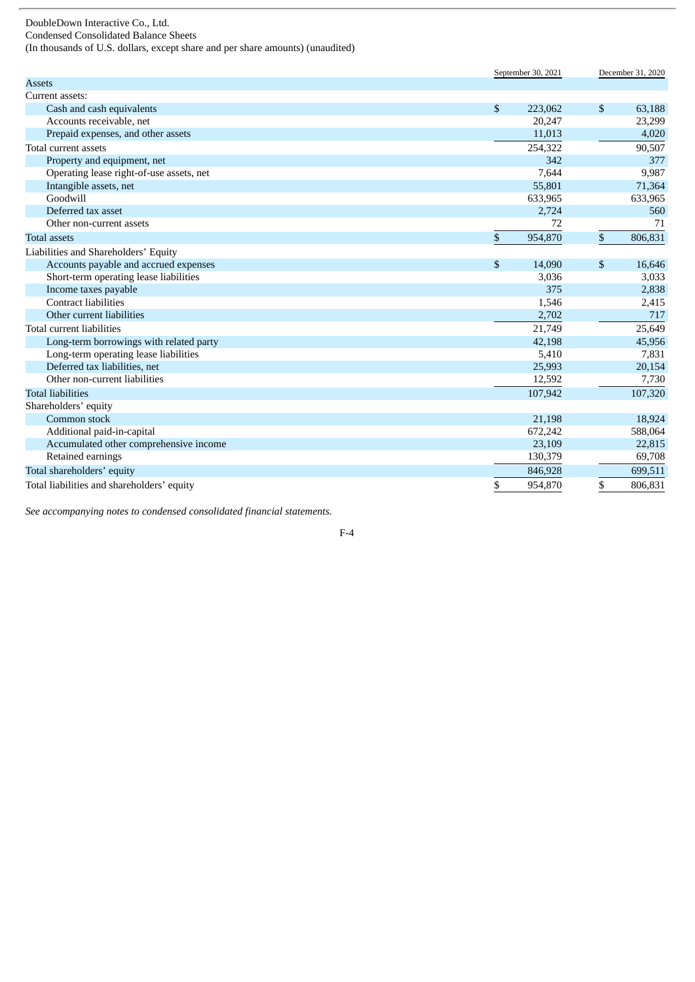Condensed Consolidated Balance Sheets

(In thousands of U.S. dollars, except share and per share amounts) (unaudited)

|                                            | September 30, 2021 |                | December 31, 2020 |
|--------------------------------------------|--------------------|----------------|-------------------|
| <b>Assets</b>                              |                    |                |                   |
| Current assets:                            |                    |                |                   |
| Cash and cash equivalents                  | \$<br>223,062      | $\mathfrak{S}$ | 63,188            |
| Accounts receivable, net                   | 20,247             |                | 23,299            |
| Prepaid expenses, and other assets         | 11,013             |                | 4,020             |
| Total current assets                       | 254,322            |                | 90,507            |
| Property and equipment, net                | 342                |                | 377               |
| Operating lease right-of-use assets, net   | 7,644              |                | 9,987             |
| Intangible assets, net                     | 55,801             |                | 71,364            |
| Goodwill                                   | 633,965            |                | 633,965           |
| Deferred tax asset                         | 2,724              |                | 560               |
| Other non-current assets                   | 72                 |                | 71                |
| <b>Total assets</b>                        | \$<br>954,870      | \$             | 806,831           |
| Liabilities and Shareholders' Equity       |                    |                |                   |
| Accounts payable and accrued expenses      | \$<br>14,090       | \$             | 16,646            |
| Short-term operating lease liabilities     | 3,036              |                | 3,033             |
| Income taxes payable                       | 375                |                | 2,838             |
| <b>Contract liabilities</b>                | 1,546              |                | 2,415             |
| Other current liabilities                  | 2,702              |                | 717               |
| Total current liabilities                  | 21,749             |                | 25,649            |
| Long-term borrowings with related party    | 42,198             |                | 45,956            |
| Long-term operating lease liabilities      | 5,410              |                | 7,831             |
| Deferred tax liabilities, net              | 25,993             |                | 20,154            |
| Other non-current liabilities              | 12,592             |                | 7,730             |
| <b>Total liabilities</b>                   | 107,942            |                | 107,320           |
| Shareholders' equity                       |                    |                |                   |
| Common stock                               | 21,198             |                | 18,924            |
| Additional paid-in-capital                 | 672,242            |                | 588,064           |
| Accumulated other comprehensive income     | 23,109             |                | 22,815            |
| Retained earnings                          | 130,379            |                | 69,708            |
| Total shareholders' equity                 | 846,928            |                | 699,511           |
| Total liabilities and shareholders' equity | \$<br>954,870      | \$             | 806,831           |

*See accompanying notes to condensed consolidated financial statements.*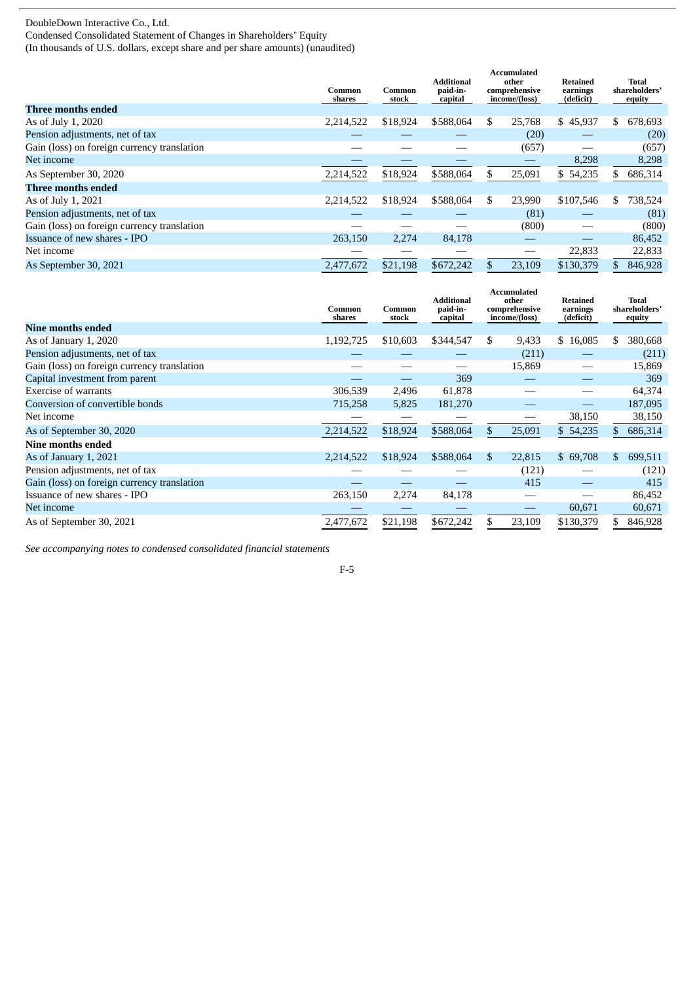Condensed Consolidated Statement of Changes in Shareholders' Equity

(In thousands of U.S. dollars, except share and per share amounts) (unaudited)

|                                             | Common<br>shares | Common<br>stock | Additional<br>paid-in-<br>capital |     | <b>Accumulated</b><br>other<br>comprehensive<br>income/(loss) | Retained<br>earnings<br>(deficit) |     | Total<br>shareholders'<br>equity |
|---------------------------------------------|------------------|-----------------|-----------------------------------|-----|---------------------------------------------------------------|-----------------------------------|-----|----------------------------------|
| <b>Three months ended</b>                   |                  |                 |                                   |     |                                                               |                                   |     |                                  |
| As of July 1, 2020                          | 2,214,522        | \$18,924        | \$588,064                         | \$. | 25,768                                                        | \$45,937                          | \$. | 678,693                          |
| Pension adjustments, net of tax             |                  |                 |                                   |     | (20)                                                          |                                   |     | (20)                             |
| Gain (loss) on foreign currency translation |                  |                 |                                   |     | (657)                                                         |                                   |     | (657)                            |
| Net income                                  |                  |                 |                                   |     |                                                               | 8,298                             |     | 8,298                            |
| As September 30, 2020                       | 2,214,522        | \$18,924        | \$588,064                         | \$  | 25,091                                                        | \$54,235                          | S.  | 686,314                          |
| Three months ended                          |                  |                 |                                   |     |                                                               |                                   |     |                                  |
| As of July 1, 2021                          | 2,214,522        | \$18,924        | \$588,064                         | \$  | 23,990                                                        | \$107,546                         | \$  | 738,524                          |
| Pension adjustments, net of tax             |                  |                 |                                   |     | (81)                                                          |                                   |     | (81)                             |
| Gain (loss) on foreign currency translation |                  |                 |                                   |     | (800)                                                         |                                   |     | (800)                            |
| Issuance of new shares - IPO                | 263,150          | 2,274           | 84,178                            |     |                                                               |                                   |     | 86,452                           |
| Net income                                  |                  |                 |                                   |     |                                                               | 22,833                            |     | 22,833                           |
| As September 30, 2021                       | 2,477,672        | \$21,198        | \$672,242                         | \$  | 23,109                                                        | \$130,379                         |     | 846,928                          |

|                                             | Common<br>shares | Common<br>stock | <b>Additional</b><br>paid-in-<br>capital |     | Accumulated<br>other<br>comprehensive<br>income/(loss) | Retained<br>earnings<br>(deficit) |     | Total<br>shareholders'<br>equity |
|---------------------------------------------|------------------|-----------------|------------------------------------------|-----|--------------------------------------------------------|-----------------------------------|-----|----------------------------------|
| Nine months ended                           |                  |                 |                                          |     |                                                        |                                   |     |                                  |
| As of January 1, 2020                       | 1,192,725        | \$10,603        | \$344,547                                | S.  | 9,433                                                  | \$16,085                          | \$. | 380,668                          |
| Pension adjustments, net of tax             |                  |                 |                                          |     | (211)                                                  |                                   |     | (211)                            |
| Gain (loss) on foreign currency translation |                  |                 |                                          |     | 15,869                                                 |                                   |     | 15,869                           |
| Capital investment from parent              |                  |                 | 369                                      |     |                                                        |                                   |     | 369                              |
| <b>Exercise of warrants</b>                 | 306,539          | 2,496           | 61,878                                   |     |                                                        |                                   |     | 64,374                           |
| Conversion of convertible bonds             | 715,258          | 5,825           | 181,270                                  |     |                                                        |                                   |     | 187,095                          |
| Net income                                  |                  |                 |                                          |     |                                                        | 38,150                            |     | 38,150                           |
| As of September 30, 2020                    | 2,214,522        | \$18,924        | \$588,064                                | \$  | 25,091                                                 | \$54,235                          |     | 686,314                          |
| Nine months ended                           |                  |                 |                                          |     |                                                        |                                   |     |                                  |
| As of January 1, 2021                       | 2,214,522        | \$18,924        | \$588,064                                | \$. | 22,815                                                 | \$69,708                          | \$. | 699,511                          |
| Pension adjustments, net of tax             |                  |                 |                                          |     | (121)                                                  |                                   |     | (121)                            |
| Gain (loss) on foreign currency translation |                  |                 |                                          |     | 415                                                    |                                   |     | 415                              |
| Issuance of new shares - IPO                | 263,150          | 2,274           | 84,178                                   |     |                                                        |                                   |     | 86,452                           |
| Net income                                  |                  |                 |                                          |     |                                                        | 60,671                            |     | 60,671                           |
| As of September 30, 2021                    | 2,477,672        | \$21,198        | \$672,242                                | \$  | 23,109                                                 | \$130,379                         |     | 846,928                          |

*See accompanying notes to condensed consolidated financial statements*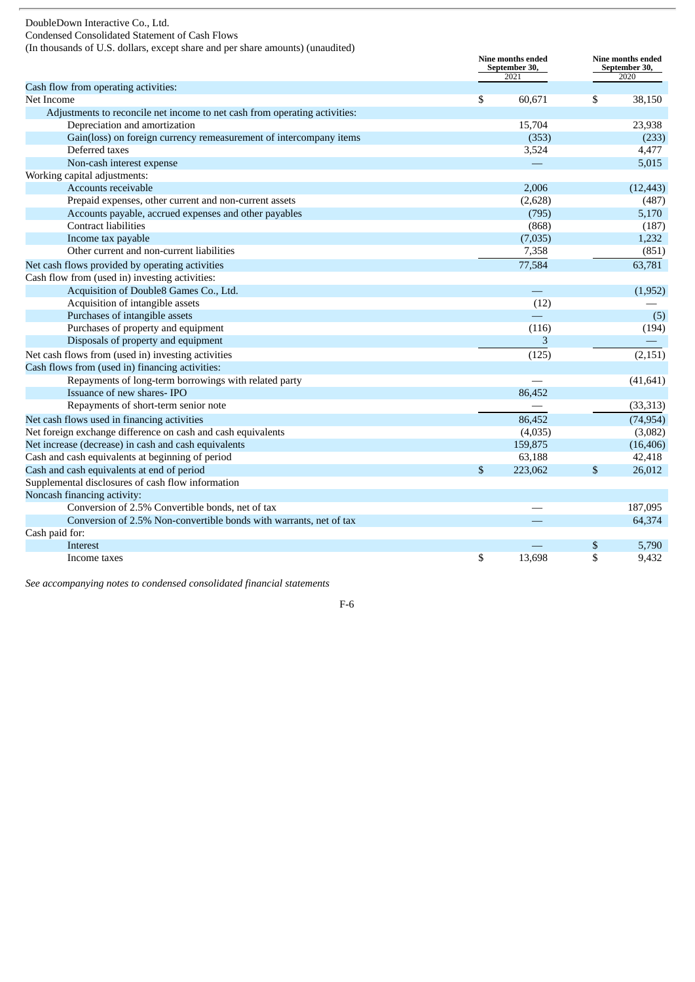Condensed Consolidated Statement of Cash Flows

(In thousands of U.S. dollars, except share and per share amounts) (unaudited)

|                                                                            |              | <b>Nine months ended</b><br>September 30,<br>2021 |    | <b>Nine months ended</b><br>September 30,<br>2020 |  |
|----------------------------------------------------------------------------|--------------|---------------------------------------------------|----|---------------------------------------------------|--|
| Cash flow from operating activities:                                       |              |                                                   |    |                                                   |  |
| Net Income                                                                 | \$           | 60,671                                            | \$ | 38,150                                            |  |
| Adjustments to reconcile net income to net cash from operating activities: |              |                                                   |    |                                                   |  |
| Depreciation and amortization                                              |              | 15,704                                            |    | 23,938                                            |  |
| Gain(loss) on foreign currency remeasurement of intercompany items         |              | (353)                                             |    | (233)                                             |  |
| Deferred taxes                                                             |              | 3,524                                             |    | 4,477                                             |  |
| Non-cash interest expense                                                  |              |                                                   |    | 5,015                                             |  |
| Working capital adjustments:                                               |              |                                                   |    |                                                   |  |
| Accounts receivable                                                        |              | 2,006                                             |    | (12, 443)                                         |  |
| Prepaid expenses, other current and non-current assets                     |              | (2,628)                                           |    | (487)                                             |  |
| Accounts payable, accrued expenses and other payables                      |              | (795)                                             |    | 5,170                                             |  |
| <b>Contract liabilities</b>                                                |              | (868)                                             |    | (187)                                             |  |
| Income tax payable                                                         |              | (7,035)                                           |    | 1,232                                             |  |
| Other current and non-current liabilities                                  |              | 7,358                                             |    | (851)                                             |  |
| Net cash flows provided by operating activities                            |              | 77,584                                            |    | 63,781                                            |  |
| Cash flow from (used in) investing activities:                             |              |                                                   |    |                                                   |  |
| Acquisition of Double8 Games Co., Ltd.                                     |              |                                                   |    | (1,952)                                           |  |
| Acquisition of intangible assets                                           |              | (12)                                              |    |                                                   |  |
| Purchases of intangible assets                                             |              |                                                   |    | (5)                                               |  |
| Purchases of property and equipment                                        |              | (116)                                             |    | (194)                                             |  |
| Disposals of property and equipment                                        |              | 3                                                 |    |                                                   |  |
| Net cash flows from (used in) investing activities                         |              | (125)                                             |    | (2, 151)                                          |  |
| Cash flows from (used in) financing activities:                            |              |                                                   |    |                                                   |  |
| Repayments of long-term borrowings with related party                      |              |                                                   |    | (41, 641)                                         |  |
| Issuance of new shares-IPO                                                 |              | 86.452                                            |    |                                                   |  |
| Repayments of short-term senior note                                       |              |                                                   |    | (33, 313)                                         |  |
| Net cash flows used in financing activities                                |              | 86,452                                            |    | (74, 954)                                         |  |
| Net foreign exchange difference on cash and cash equivalents               |              | (4,035)                                           |    | (3,082)                                           |  |
| Net increase (decrease) in cash and cash equivalents                       |              | 159,875                                           |    | (16, 406)                                         |  |
| Cash and cash equivalents at beginning of period                           |              | 63,188                                            |    | 42,418                                            |  |
| Cash and cash equivalents at end of period                                 | $\mathbb{S}$ | 223,062                                           | \$ | 26,012                                            |  |
| Supplemental disclosures of cash flow information                          |              |                                                   |    |                                                   |  |
| Noncash financing activity:                                                |              |                                                   |    |                                                   |  |
| Conversion of 2.5% Convertible bonds, net of tax                           |              |                                                   |    | 187,095                                           |  |
| Conversion of 2.5% Non-convertible bonds with warrants, net of tax         |              |                                                   |    | 64,374                                            |  |
| Cash paid for:                                                             |              |                                                   |    |                                                   |  |
| Interest                                                                   |              |                                                   | \$ | 5,790                                             |  |
| Income taxes                                                               | \$           | 13,698                                            | \$ | 9,432                                             |  |

*See accompanying notes to condensed consolidated financial statements*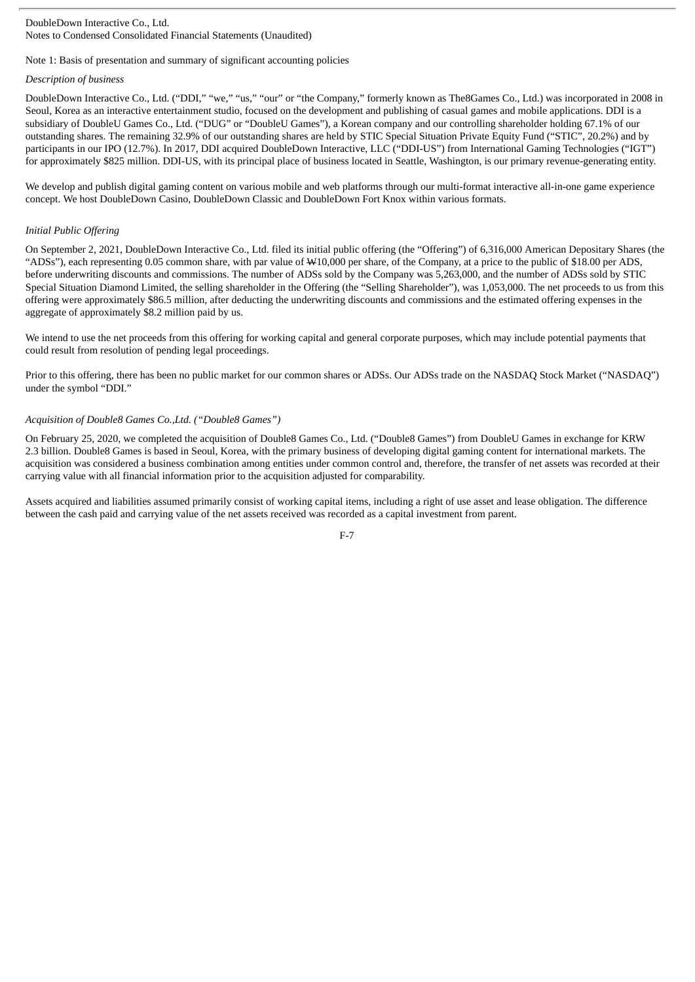#### DoubleDown Interactive Co., Ltd. Notes to Condensed Consolidated Financial Statements (Unaudited)

# Note 1: Basis of presentation and summary of significant accounting policies

# *Description of business*

DoubleDown Interactive Co., Ltd. ("DDI," "we," "us," "our" or "the Company," formerly known as The8Games Co., Ltd.) was incorporated in 2008 in Seoul, Korea as an interactive entertainment studio, focused on the development and publishing of casual games and mobile applications. DDI is a subsidiary of DoubleU Games Co., Ltd. ("DUG" or "DoubleU Games"), a Korean company and our controlling shareholder holding 67.1% of our outstanding shares. The remaining 32.9% of our outstanding shares are held by STIC Special Situation Private Equity Fund ("STIC", 20.2%) and by participants in our IPO (12.7%). In 2017, DDI acquired DoubleDown Interactive, LLC ("DDI-US") from International Gaming Technologies ("IGT") for approximately \$825 million. DDI-US, with its principal place of business located in Seattle, Washington, is our primary revenue-generating entity.

We develop and publish digital gaming content on various mobile and web platforms through our multi-format interactive all-in-one game experience concept. We host DoubleDown Casino, DoubleDown Classic and DoubleDown Fort Knox within various formats.

# *Initial Public Offering*

On September 2, 2021, DoubleDown Interactive Co., Ltd. filed its initial public offering (the "Offering") of 6,316,000 American Depositary Shares (the "ADSs"), each representing 0.05 common share, with par value of W10,000 per share, of the Company, at a price to the public of \$18.00 per ADS, before underwriting discounts and commissions. The number of ADSs sold by the Company was 5,263,000, and the number of ADSs sold by STIC Special Situation Diamond Limited, the selling shareholder in the Offering (the "Selling Shareholder"), was 1,053,000. The net proceeds to us from this offering were approximately \$86.5 million, after deducting the underwriting discounts and commissions and the estimated offering expenses in the aggregate of approximately \$8.2 million paid by us.

We intend to use the net proceeds from this offering for working capital and general corporate purposes, which may include potential payments that could result from resolution of pending legal proceedings.

Prior to this offering, there has been no public market for our common shares or ADSs. Our ADSs trade on the NASDAQ Stock Market ("NASDAQ") under the symbol "DDI."

# *Acquisition of Double8 Games Co.,Ltd. ("Double8 Games")*

On February 25, 2020, we completed the acquisition of Double8 Games Co., Ltd. ("Double8 Games") from DoubleU Games in exchange for KRW 2.3 billion. Double8 Games is based in Seoul, Korea, with the primary business of developing digital gaming content for international markets. The acquisition was considered a business combination among entities under common control and, therefore, the transfer of net assets was recorded at their carrying value with all financial information prior to the acquisition adjusted for comparability.

Assets acquired and liabilities assumed primarily consist of working capital items, including a right of use asset and lease obligation. The difference between the cash paid and carrying value of the net assets received was recorded as a capital investment from parent.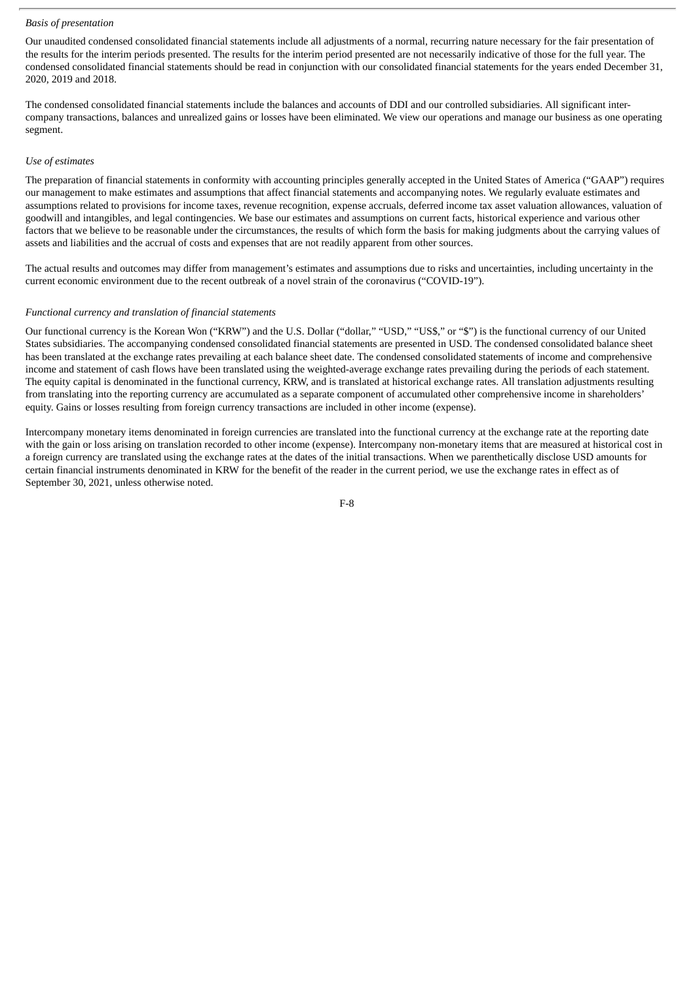# *Basis of presentation*

Our unaudited condensed consolidated financial statements include all adjustments of a normal, recurring nature necessary for the fair presentation of the results for the interim periods presented. The results for the interim period presented are not necessarily indicative of those for the full year. The condensed consolidated financial statements should be read in conjunction with our consolidated financial statements for the years ended December 31, 2020, 2019 and 2018.

The condensed consolidated financial statements include the balances and accounts of DDI and our controlled subsidiaries. All significant intercompany transactions, balances and unrealized gains or losses have been eliminated. We view our operations and manage our business as one operating segment.

#### *Use of estimates*

The preparation of financial statements in conformity with accounting principles generally accepted in the United States of America ("GAAP") requires our management to make estimates and assumptions that affect financial statements and accompanying notes. We regularly evaluate estimates and assumptions related to provisions for income taxes, revenue recognition, expense accruals, deferred income tax asset valuation allowances, valuation of goodwill and intangibles, and legal contingencies. We base our estimates and assumptions on current facts, historical experience and various other factors that we believe to be reasonable under the circumstances, the results of which form the basis for making judgments about the carrying values of assets and liabilities and the accrual of costs and expenses that are not readily apparent from other sources.

The actual results and outcomes may differ from management's estimates and assumptions due to risks and uncertainties, including uncertainty in the current economic environment due to the recent outbreak of a novel strain of the coronavirus ("COVID-19").

# *Functional currency and translation of financial statements*

Our functional currency is the Korean Won ("KRW") and the U.S. Dollar ("dollar," "USD," "US\$," or "\$") is the functional currency of our United States subsidiaries. The accompanying condensed consolidated financial statements are presented in USD. The condensed consolidated balance sheet has been translated at the exchange rates prevailing at each balance sheet date. The condensed consolidated statements of income and comprehensive income and statement of cash flows have been translated using the weighted-average exchange rates prevailing during the periods of each statement. The equity capital is denominated in the functional currency, KRW, and is translated at historical exchange rates. All translation adjustments resulting from translating into the reporting currency are accumulated as a separate component of accumulated other comprehensive income in shareholders' equity. Gains or losses resulting from foreign currency transactions are included in other income (expense).

Intercompany monetary items denominated in foreign currencies are translated into the functional currency at the exchange rate at the reporting date with the gain or loss arising on translation recorded to other income (expense). Intercompany non-monetary items that are measured at historical cost in a foreign currency are translated using the exchange rates at the dates of the initial transactions. When we parenthetically disclose USD amounts for certain financial instruments denominated in KRW for the benefit of the reader in the current period, we use the exchange rates in effect as of September 30, 2021, unless otherwise noted.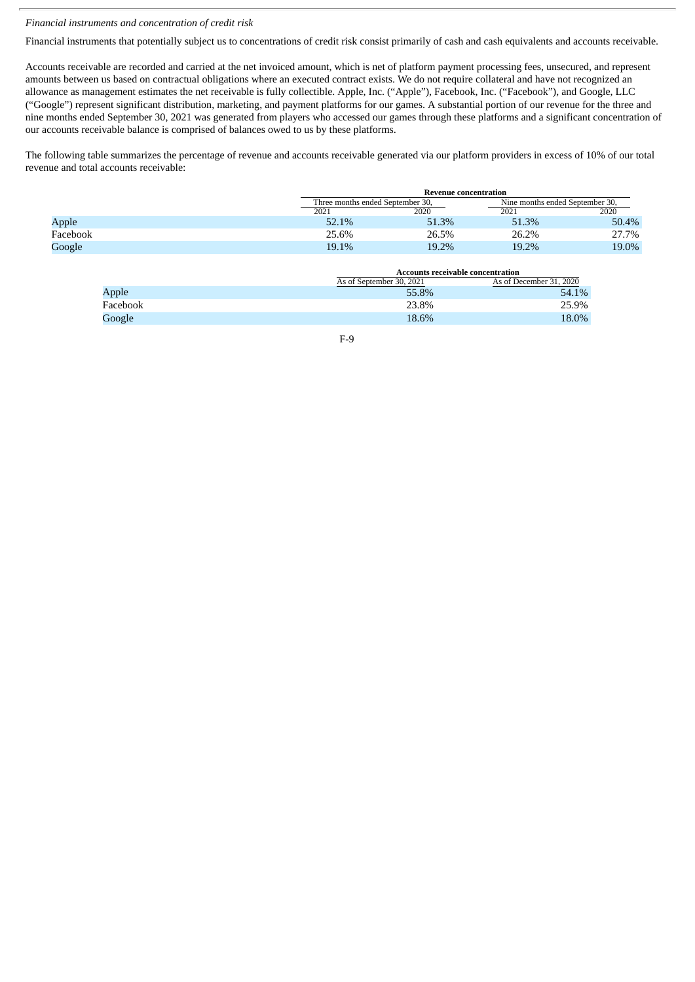# *Financial instruments and concentration of credit risk*

Financial instruments that potentially subject us to concentrations of credit risk consist primarily of cash and cash equivalents and accounts receivable.

Accounts receivable are recorded and carried at the net invoiced amount, which is net of platform payment processing fees, unsecured, and represent amounts between us based on contractual obligations where an executed contract exists. We do not require collateral and have not recognized an allowance as management estimates the net receivable is fully collectible. Apple, Inc. ("Apple"), Facebook, Inc. ("Facebook"), and Google, LLC ("Google") represent significant distribution, marketing, and payment platforms for our games. A substantial portion of our revenue for the three and nine months ended September 30, 2021 was generated from players who accessed our games through these platforms and a significant concentration of our accounts receivable balance is comprised of balances owed to us by these platforms.

The following table summarizes the percentage of revenue and accounts receivable generated via our platform providers in excess of 10% of our total revenue and total accounts receivable:

|          |                                  | <b>Revenue concentration</b> |                                 |       |  |  |  |
|----------|----------------------------------|------------------------------|---------------------------------|-------|--|--|--|
|          | Three months ended September 30. |                              | Nine months ended September 30. |       |  |  |  |
|          | 2021                             | 2020                         | 2021                            | 2020  |  |  |  |
| Apple    | 52.1%                            | 51.3%                        | 51.3%                           | 50.4% |  |  |  |
| Facebook | 25.6%                            | 26.5%                        | 26.2%                           | 27.7% |  |  |  |
| Google   | 19.1%                            | 19.2%                        | 19.2%                           | 19.0% |  |  |  |

|          |                          | <b>Accounts receivable concentration</b> |
|----------|--------------------------|------------------------------------------|
|          | As of September 30, 2021 | As of December 31, 2020                  |
| Apple    | 55.8%                    | 54.1%                                    |
| Facebook | 23.8%                    | 25.9%                                    |
| Google   | 18.6%                    | 18.0%                                    |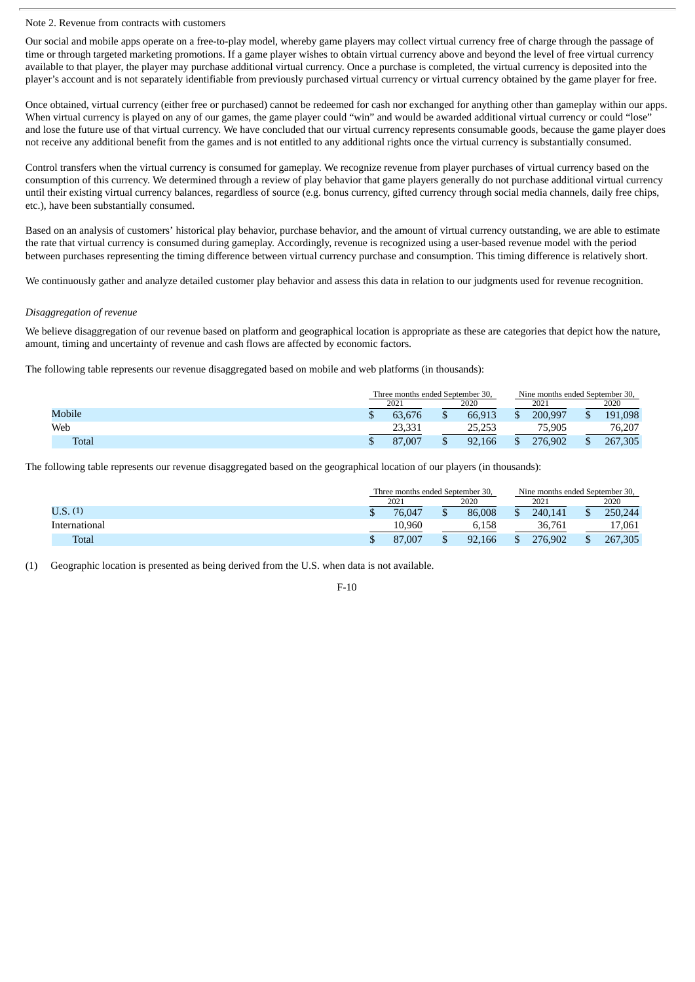#### Note 2. Revenue from contracts with customers

Our social and mobile apps operate on a free-to-play model, whereby game players may collect virtual currency free of charge through the passage of time or through targeted marketing promotions. If a game player wishes to obtain virtual currency above and beyond the level of free virtual currency available to that player, the player may purchase additional virtual currency. Once a purchase is completed, the virtual currency is deposited into the player's account and is not separately identifiable from previously purchased virtual currency or virtual currency obtained by the game player for free.

Once obtained, virtual currency (either free or purchased) cannot be redeemed for cash nor exchanged for anything other than gameplay within our apps. When virtual currency is played on any of our games, the game player could "win" and would be awarded additional virtual currency or could "lose" and lose the future use of that virtual currency. We have concluded that our virtual currency represents consumable goods, because the game player does not receive any additional benefit from the games and is not entitled to any additional rights once the virtual currency is substantially consumed.

Control transfers when the virtual currency is consumed for gameplay. We recognize revenue from player purchases of virtual currency based on the consumption of this currency. We determined through a review of play behavior that game players generally do not purchase additional virtual currency until their existing virtual currency balances, regardless of source (e.g. bonus currency, gifted currency through social media channels, daily free chips, etc.), have been substantially consumed.

Based on an analysis of customers' historical play behavior, purchase behavior, and the amount of virtual currency outstanding, we are able to estimate the rate that virtual currency is consumed during gameplay. Accordingly, revenue is recognized using a user-based revenue model with the period between purchases representing the timing difference between virtual currency purchase and consumption. This timing difference is relatively short.

We continuously gather and analyze detailed customer play behavior and assess this data in relation to our judgments used for revenue recognition.

### *Disaggregation of revenue*

We believe disaggregation of our revenue based on platform and geographical location is appropriate as these are categories that depict how the nature, amount, timing and uncertainty of revenue and cash flows are affected by economic factors.

The following table represents our revenue disaggregated based on mobile and web platforms (in thousands):

|        | Three months ended September 30. |        |      |        | Nine months ended September 30. |    |              |
|--------|----------------------------------|--------|------|--------|---------------------------------|----|--------------|
|        | 2020<br>2021                     |        | 2021 |        | 2020                            |    |              |
| Mobile |                                  | 63.676 |      | 66.913 | 200,997                         | ۰D | 191,098      |
| Web    |                                  | 23,331 |      | 25,253 | 75,905                          |    | 76,207       |
| Total  |                                  | 87,007 |      | 92,166 | 276,902                         | J  | 7,305<br>267 |

The following table represents our revenue disaggregated based on the geographical location of our players (in thousands):

|               |  | Three months ended September 30. |  |        |  |         | Nine months ended September 30. |      |  |      |
|---------------|--|----------------------------------|--|--------|--|---------|---------------------------------|------|--|------|
|               |  | 2021                             |  |        |  | 2020    |                                 | 2021 |  | 2020 |
| U.S.(1)       |  | 76.047                           |  | 86,008 |  | 240,141 | 250,244                         |      |  |      |
| International |  | 10.960                           |  | 6.158  |  | 36,761  | 17,061                          |      |  |      |
| <b>Total</b>  |  | 87,007                           |  | 92.166 |  | 276.902 | 267,305                         |      |  |      |

(1) Geographic location is presented as being derived from the U.S. when data is not available.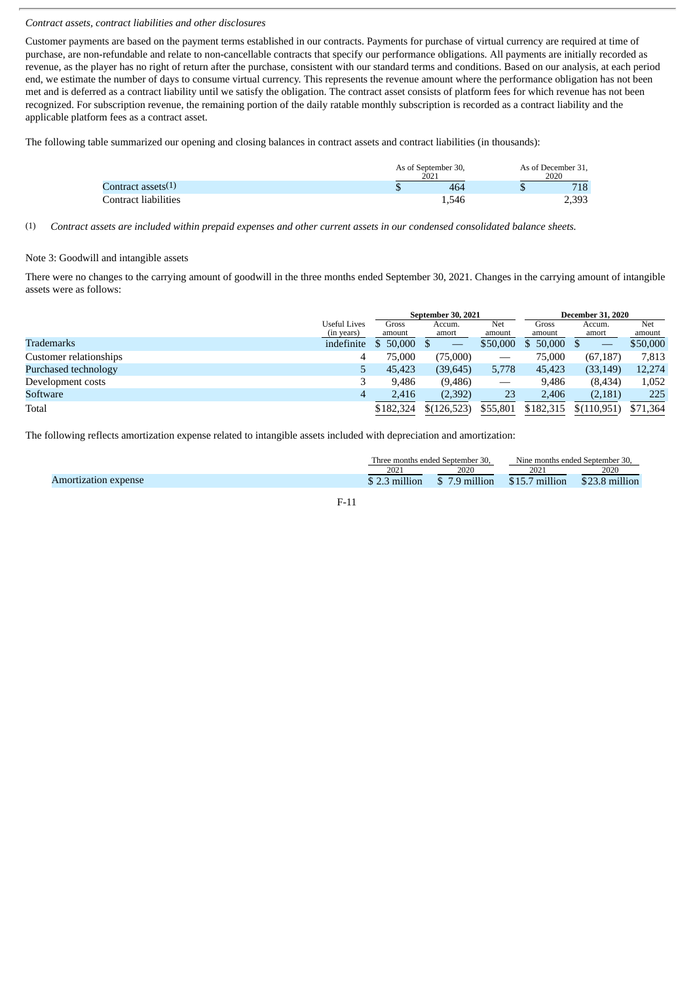# *Contract assets, contract liabilities and other disclosures*

Customer payments are based on the payment terms established in our contracts. Payments for purchase of virtual currency are required at time of purchase, are non-refundable and relate to non-cancellable contracts that specify our performance obligations. All payments are initially recorded as revenue, as the player has no right of return after the purchase, consistent with our standard terms and conditions. Based on our analysis, at each period end, we estimate the number of days to consume virtual currency. This represents the revenue amount where the performance obligation has not been met and is deferred as a contract liability until we satisfy the obligation. The contract asset consists of platform fees for which revenue has not been recognized. For subscription revenue, the remaining portion of the daily ratable monthly subscription is recorded as a contract liability and the applicable platform fees as a contract asset.

The following table summarized our opening and closing balances in contract assets and contract liabilities (in thousands):

|                       | As of September 30,<br>2021 |     | As of December 31,<br>2020 |  |  |
|-----------------------|-----------------------------|-----|----------------------------|--|--|
| Contract assets $(1)$ | 464                         | 718 |                            |  |  |
| Contract liabilities  | 1.546                       |     | 2.393                      |  |  |

(1) Contract assets are included within prepaid expenses and other current assets in our condensed consolidated balance sheets.

# Note 3: Goodwill and intangible assets

There were no changes to the carrying amount of goodwill in the three months ended September 30, 2021. Changes in the carrying amount of intangible assets were as follows:

|                        |              |           | September 30, 2021 |                                 | <b>December 31, 2020</b> |             |          |  |
|------------------------|--------------|-----------|--------------------|---------------------------------|--------------------------|-------------|----------|--|
|                        | Useful Lives | Gross     | Accum.             | Net                             | Gross                    | Accum.      | Net      |  |
|                        | (in years)   | amount    | amort              | amount                          | amount                   | amort       | amount   |  |
| Trademarks             | indefinite   | \$50,000  |                    | \$50,000                        | 50,000                   |             | \$50,000 |  |
| Customer relationships |              | 75,000    | (75,000)           | –                               | 75,000                   | (67, 187)   | 7,813    |  |
| Purchased technology   |              | 45,423    | (39, 645)          | 5,778                           | 45,423                   | (33, 149)   | 12,274   |  |
| Development costs      |              | 9,486     | (9, 486)           | $\hspace{0.1mm}-\hspace{0.1mm}$ | 9,486                    | (8, 434)    | 1,052    |  |
| Software               | 4            | 2.416     | (2,392)            | 23                              | 2.406                    | (2,181)     | 225      |  |
| Total                  |              | \$182,324 | \$(126, 523)       | \$55,801                        | \$182,315                | \$(110,951) | \$71,364 |  |

The following reflects amortization expense related to intangible assets included with depreciation and amortization:

|                                |                      | Three months ended September 30. | ' September 30.<br>ended<br>Nine months |            |  |
|--------------------------------|----------------------|----------------------------------|-----------------------------------------|------------|--|
|                                | 2020<br>2021         |                                  | 2021                                    | 2020       |  |
| expense<br><b>\mortization</b> | 1.7.7.4<br>m<br>lion | $-77.$<br>llion                  | <br>million                             | .<br>llion |  |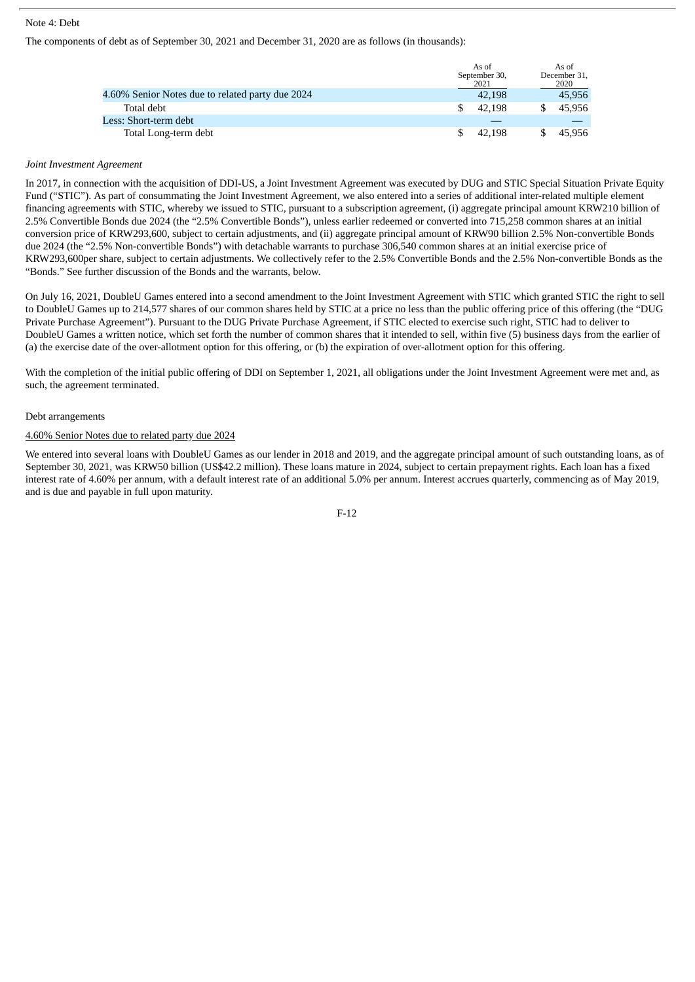# Note 4: Debt

The components of debt as of September 30, 2021 and December 31, 2020 are as follows (in thousands):

|                                                  | As of<br>September 30,<br>2021 | As of<br>December 31,<br>2020 |
|--------------------------------------------------|--------------------------------|-------------------------------|
| 4.60% Senior Notes due to related party due 2024 | 42.198                         | 45,956                        |
| Total debt                                       | 42.198                         | 45.956                        |
| Less: Short-term debt                            |                                |                               |
| Total Long-term debt                             | 42.198                         | 45.956                        |

#### *Joint Investment Agreement*

In 2017, in connection with the acquisition of DDI-US, a Joint Investment Agreement was executed by DUG and STIC Special Situation Private Equity Fund ("STIC"). As part of consummating the Joint Investment Agreement, we also entered into a series of additional inter-related multiple element financing agreements with STIC, whereby we issued to STIC, pursuant to a subscription agreement, (i) aggregate principal amount KRW210 billion of 2.5% Convertible Bonds due 2024 (the "2.5% Convertible Bonds"), unless earlier redeemed or converted into 715,258 common shares at an initial conversion price of KRW293,600, subject to certain adjustments, and (ii) aggregate principal amount of KRW90 billion 2.5% Non-convertible Bonds due 2024 (the "2.5% Non-convertible Bonds") with detachable warrants to purchase 306,540 common shares at an initial exercise price of KRW293,600per share, subject to certain adjustments. We collectively refer to the 2.5% Convertible Bonds and the 2.5% Non-convertible Bonds as the "Bonds." See further discussion of the Bonds and the warrants, below.

On July 16, 2021, DoubleU Games entered into a second amendment to the Joint Investment Agreement with STIC which granted STIC the right to sell to DoubleU Games up to 214,577 shares of our common shares held by STIC at a price no less than the public offering price of this offering (the "DUG Private Purchase Agreement"). Pursuant to the DUG Private Purchase Agreement, if STIC elected to exercise such right, STIC had to deliver to DoubleU Games a written notice, which set forth the number of common shares that it intended to sell, within five (5) business days from the earlier of (a) the exercise date of the over-allotment option for this offering, or (b) the expiration of over-allotment option for this offering.

With the completion of the initial public offering of DDI on September 1, 2021, all obligations under the Joint Investment Agreement were met and, as such, the agreement terminated.

#### Debt arrangements

### 4.60% Senior Notes due to related party due 2024

We entered into several loans with DoubleU Games as our lender in 2018 and 2019, and the aggregate principal amount of such outstanding loans, as of September 30, 2021, was KRW50 billion (US\$42.2 million). These loans mature in 2024, subject to certain prepayment rights. Each loan has a fixed interest rate of 4.60% per annum, with a default interest rate of an additional 5.0% per annum. Interest accrues quarterly, commencing as of May 2019, and is due and payable in full upon maturity.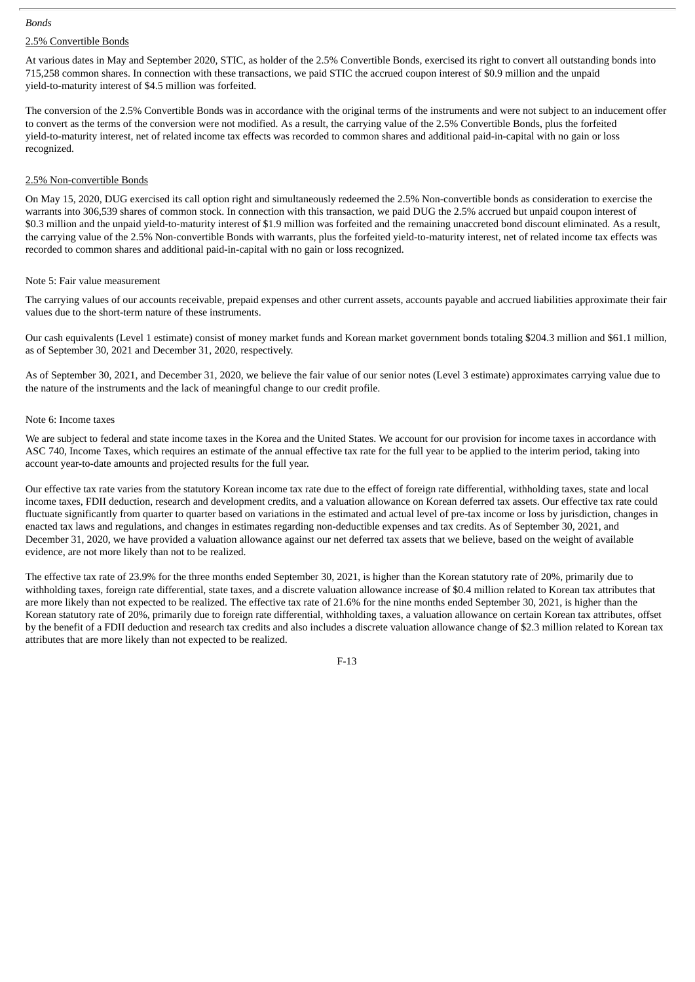#### *Bonds*

# 2.5% Convertible Bonds

At various dates in May and September 2020, STIC, as holder of the 2.5% Convertible Bonds, exercised its right to convert all outstanding bonds into 715,258 common shares. In connection with these transactions, we paid STIC the accrued coupon interest of \$0.9 million and the unpaid yield-to-maturity interest of \$4.5 million was forfeited.

The conversion of the 2.5% Convertible Bonds was in accordance with the original terms of the instruments and were not subject to an inducement offer to convert as the terms of the conversion were not modified. As a result, the carrying value of the 2.5% Convertible Bonds, plus the forfeited yield-to-maturity interest, net of related income tax effects was recorded to common shares and additional paid-in-capital with no gain or loss recognized.

### 2.5% Non-convertible Bonds

On May 15, 2020, DUG exercised its call option right and simultaneously redeemed the 2.5% Non-convertible bonds as consideration to exercise the warrants into 306,539 shares of common stock. In connection with this transaction, we paid DUG the 2.5% accrued but unpaid coupon interest of \$0.3 million and the unpaid yield-to-maturity interest of \$1.9 million was forfeited and the remaining unaccreted bond discount eliminated. As a result, the carrying value of the 2.5% Non-convertible Bonds with warrants, plus the forfeited yield-to-maturity interest, net of related income tax effects was recorded to common shares and additional paid-in-capital with no gain or loss recognized.

#### Note 5: Fair value measurement

The carrying values of our accounts receivable, prepaid expenses and other current assets, accounts payable and accrued liabilities approximate their fair values due to the short-term nature of these instruments.

Our cash equivalents (Level 1 estimate) consist of money market funds and Korean market government bonds totaling \$204.3 million and \$61.1 million, as of September 30, 2021 and December 31, 2020, respectively.

As of September 30, 2021, and December 31, 2020, we believe the fair value of our senior notes (Level 3 estimate) approximates carrying value due to the nature of the instruments and the lack of meaningful change to our credit profile.

# Note 6: Income taxes

We are subject to federal and state income taxes in the Korea and the United States. We account for our provision for income taxes in accordance with ASC 740, Income Taxes, which requires an estimate of the annual effective tax rate for the full year to be applied to the interim period, taking into account year-to-date amounts and projected results for the full year.

Our effective tax rate varies from the statutory Korean income tax rate due to the effect of foreign rate differential, withholding taxes, state and local income taxes, FDII deduction, research and development credits, and a valuation allowance on Korean deferred tax assets. Our effective tax rate could fluctuate significantly from quarter to quarter based on variations in the estimated and actual level of pre-tax income or loss by jurisdiction, changes in enacted tax laws and regulations, and changes in estimates regarding non-deductible expenses and tax credits. As of September 30, 2021, and December 31, 2020, we have provided a valuation allowance against our net deferred tax assets that we believe, based on the weight of available evidence, are not more likely than not to be realized.

The effective tax rate of 23.9% for the three months ended September 30, 2021, is higher than the Korean statutory rate of 20%, primarily due to withholding taxes, foreign rate differential, state taxes, and a discrete valuation allowance increase of \$0.4 million related to Korean tax attributes that are more likely than not expected to be realized. The effective tax rate of 21.6% for the nine months ended September 30, 2021, is higher than the Korean statutory rate of 20%, primarily due to foreign rate differential, withholding taxes, a valuation allowance on certain Korean tax attributes, offset by the benefit of a FDII deduction and research tax credits and also includes a discrete valuation allowance change of \$2.3 million related to Korean tax attributes that are more likely than not expected to be realized.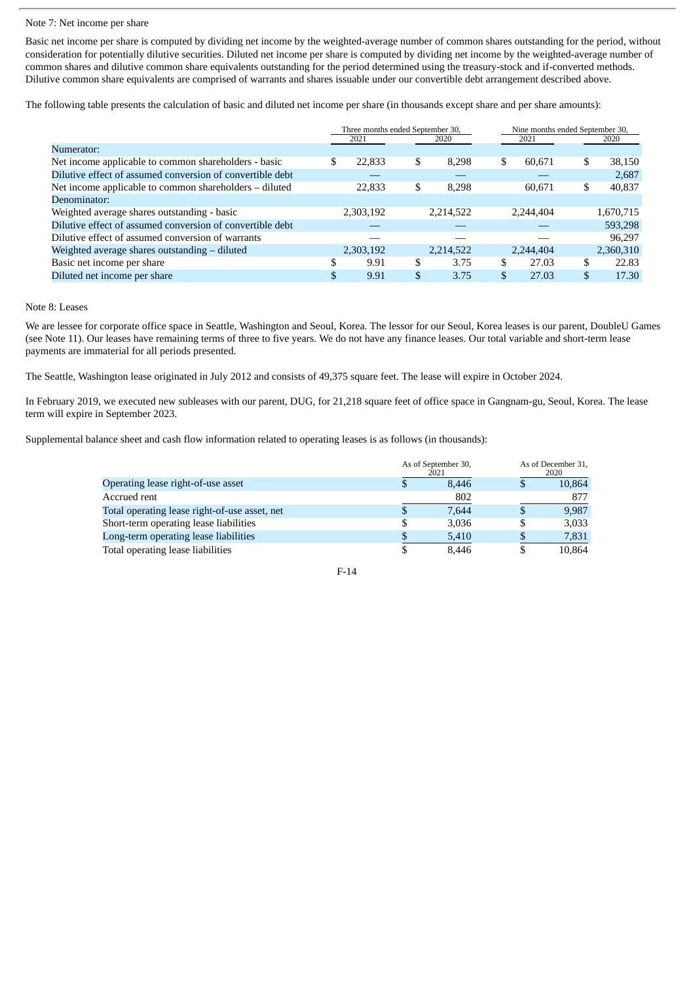#### Note 7: Net income per share

Basic net income per share is computed by dividing net income by the weighted-average number of common shares outstanding for the period, without consideration for potentially dilutive securities. Diluted net income per share is computed by dividing net income by the weighted-average number of common shares and dilutive common share equivalents outstanding for the period determined using the treasury-stock and if-converted methods. Dilutive common share equivalents are comprised of warrants and shares issuable under our convertible debt arrangement described above.

The following table presents the calculation of basic and diluted net income per share (in thousands except share and per share amounts):

|                                                           | Three months ended September 30, |           |    |           |      | Nine months ended September 30, |               |           |
|-----------------------------------------------------------|----------------------------------|-----------|----|-----------|------|---------------------------------|---------------|-----------|
|                                                           |                                  | 2021      |    | 2020      | 2021 |                                 |               | 2020      |
| Numerator:                                                |                                  |           |    |           |      |                                 |               |           |
| Net income applicable to common shareholders - basic      | \$.                              | 22,833    | \$ | 8.298     | \$   | 60.671                          | \$            | 38,150    |
| Dilutive effect of assumed conversion of convertible debt |                                  |           |    |           |      |                                 |               | 2,687     |
| Net income applicable to common shareholders – diluted    |                                  | 22,833    | \$ | 8.298     |      | 60.671                          | \$            | 40,837    |
| Denominator:                                              |                                  |           |    |           |      |                                 |               |           |
| Weighted average shares outstanding - basic               |                                  | 2,303,192 |    | 2,214,522 |      | 2,244,404                       |               | 1,670,715 |
| Dilutive effect of assumed conversion of convertible debt |                                  |           |    |           |      |                                 |               | 593,298   |
| Dilutive effect of assumed conversion of warrants         |                                  |           |    |           |      |                                 |               | 96,297    |
| Weighted average shares outstanding - diluted             |                                  | 2,303,192 |    | 2,214,522 |      | 2,244,404                       |               | 2,360,310 |
| Basic net income per share                                | ۰D.                              | 9.91      | \$ | 3.75      | S    | 27.03                           | \$            | 22.83     |
| Diluted net income per share                              | \$                               | 9.91      | \$ | 3.75      | \$   | 27.03                           | $\mathbf{\$}$ | 17.30     |

# Note 8: Leases

We are lessee for corporate office space in Seattle, Washington and Seoul, Korea. The lessor for our Seoul, Korea leases is our parent, DoubleU Games (see Note 11). Our leases have remaining terms of three to five years. We do not have any finance leases. Our total variable and short-term lease payments are immaterial for all periods presented.

The Seattle, Washington lease originated in July 2012 and consists of 49,375 square feet. The lease will expire in October 2024.

In February 2019, we executed new subleases with our parent, DUG, for 21,218 square feet of office space in Gangnam-gu, Seoul, Korea. The lease term will expire in September 2023.

Supplemental balance sheet and cash flow information related to operating leases is as follows (in thousands):

|                                               |    | As of September 30,<br>2021 |   |        |
|-----------------------------------------------|----|-----------------------------|---|--------|
| Operating lease right-of-use asset            | Φ  | 8.446                       | Φ | 10,864 |
| Accrued rent                                  |    | 802                         |   | 877    |
| Total operating lease right-of-use asset, net | Ъ  | 7.644                       | S | 9.987  |
| Short-term operating lease liabilities        | \$ | 3,036                       | S | 3,033  |
| Long-term operating lease liabilities         |    | 5,410                       |   | 7,831  |
| Total operating lease liabilities             |    | 8.446                       |   | 10.864 |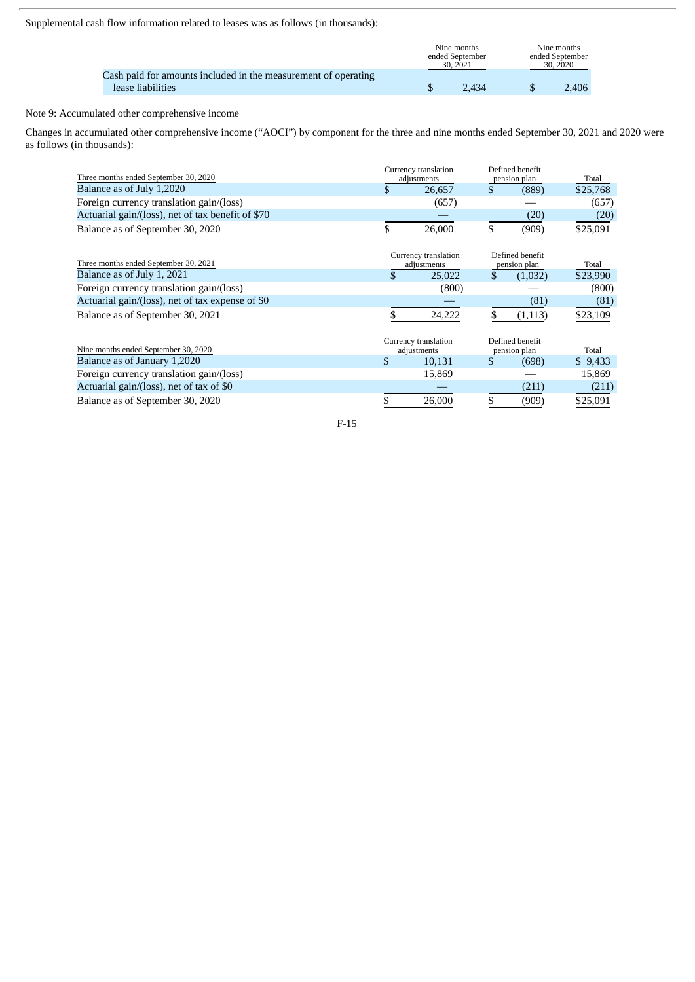Supplemental cash flow information related to leases was as follows (in thousands):

|                                                                                     | Nine months<br>ended September<br>30, 2021 | Nine months<br>ended September<br>30, 2020 |
|-------------------------------------------------------------------------------------|--------------------------------------------|--------------------------------------------|
| Cash paid for amounts included in the measurement of operating<br>lease liabilities | 2.434                                      | 2.406                                      |

# Note 9: Accumulated other comprehensive income

Changes in accumulated other comprehensive income ("AOCI") by component for the three and nine months ended September 30, 2021 and 2020 were as follows (in thousands):

| Three months ended September 30, 2020             |    | Currency translation<br>adjustments |    | Defined benefit<br>pension plan | Total    |  |
|---------------------------------------------------|----|-------------------------------------|----|---------------------------------|----------|--|
| Balance as of July 1,2020                         |    | 26,657                              | \$ | (889)                           | \$25,768 |  |
| Foreign currency translation gain/(loss)          |    | (657)                               |    |                                 | (657)    |  |
| Actuarial gain/(loss), net of tax benefit of \$70 |    |                                     |    | (20)                            | (20)     |  |
| Balance as of September 30, 2020                  | \$ | 26,000                              | \$ | (909)                           | \$25,091 |  |
| Three months ended September 30, 2021             |    | Currency translation<br>adjustments |    | Defined benefit<br>pension plan | Total    |  |
| Balance as of July 1, 2021                        | \$ | 25,022                              | \$ | (1,032)                         | \$23,990 |  |
| Foreign currency translation gain/(loss)          |    | (800)                               |    |                                 | (800)    |  |
| Actuarial gain/(loss), net of tax expense of \$0  |    |                                     |    | (81)                            | (81)     |  |
| Balance as of September 30, 2021                  | \$ | 24,222                              | \$ | (1,113)                         | \$23,109 |  |
| Nine months ended September 30, 2020              |    | Currency translation<br>adjustments |    | Defined benefit<br>pension plan | Total    |  |
| Balance as of January 1,2020                      | \$ | 10,131                              | \$ | (698)                           | \$9,433  |  |
| Foreign currency translation gain/(loss)          |    | 15,869                              |    |                                 | 15,869   |  |
| Actuarial gain/(loss), net of tax of \$0          |    |                                     |    | (211)                           | (211)    |  |
| Balance as of September 30, 2020                  | \$ | 26,000                              | \$ | (909)                           | \$25,091 |  |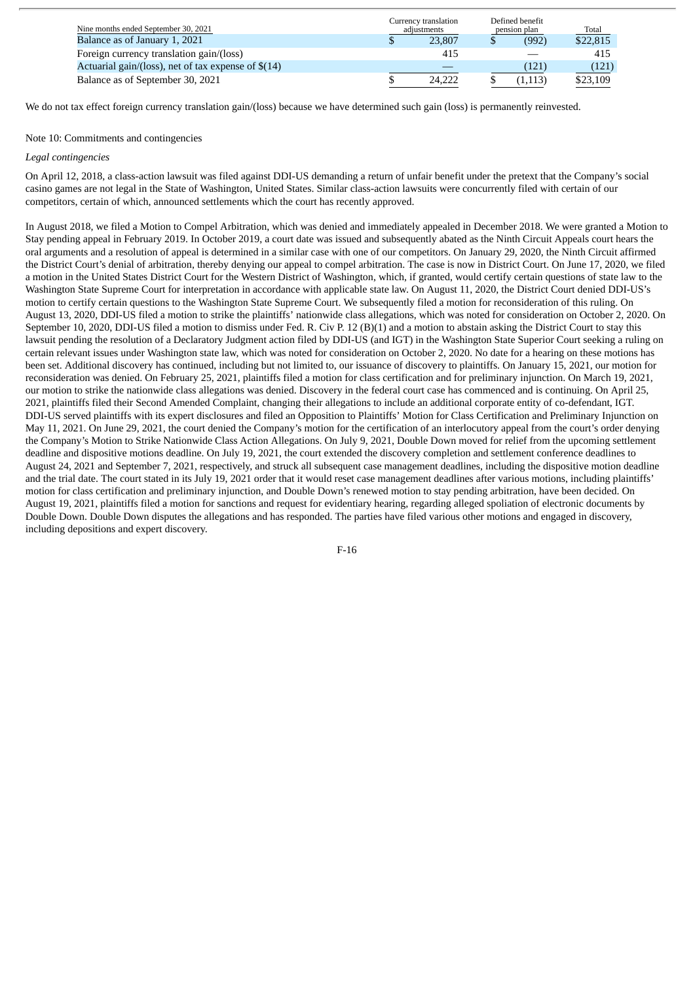| Nine months ended September 30, 2021                 | Currency translation<br>adiustments |        | Defined benefit<br>pension plan |          | Total    |
|------------------------------------------------------|-------------------------------------|--------|---------------------------------|----------|----------|
| Balance as of January 1, 2021                        |                                     | 23,807 |                                 | (992)    | \$22,815 |
| Foreign currency translation gain/(loss)             |                                     | 415    |                                 |          | 415      |
| Actuarial gain/(loss), net of tax expense of $$(14)$ |                                     |        |                                 | (121)    | (121)    |
| Balance as of September 30, 2021                     |                                     | 24.222 |                                 | (1, 113) | \$23,109 |

We do not tax effect foreign currency translation gain/(loss) because we have determined such gain (loss) is permanently reinvested.

### Note 10: Commitments and contingencies

#### *Legal contingencies*

On April 12, 2018, a class-action lawsuit was filed against DDI-US demanding a return of unfair benefit under the pretext that the Company's social casino games are not legal in the State of Washington, United States. Similar class-action lawsuits were concurrently filed with certain of our competitors, certain of which, announced settlements which the court has recently approved.

In August 2018, we filed a Motion to Compel Arbitration, which was denied and immediately appealed in December 2018. We were granted a Motion to Stay pending appeal in February 2019. In October 2019, a court date was issued and subsequently abated as the Ninth Circuit Appeals court hears the oral arguments and a resolution of appeal is determined in a similar case with one of our competitors. On January 29, 2020, the Ninth Circuit affirmed the District Court's denial of arbitration, thereby denying our appeal to compel arbitration. The case is now in District Court. On June 17, 2020, we filed a motion in the United States District Court for the Western District of Washington, which, if granted, would certify certain questions of state law to the Washington State Supreme Court for interpretation in accordance with applicable state law. On August 11, 2020, the District Court denied DDI-US's motion to certify certain questions to the Washington State Supreme Court. We subsequently filed a motion for reconsideration of this ruling. On August 13, 2020, DDI-US filed a motion to strike the plaintiffs' nationwide class allegations, which was noted for consideration on October 2, 2020. On September 10, 2020, DDI-US filed a motion to dismiss under Fed. R. Civ P. 12 (B)(1) and a motion to abstain asking the District Court to stay this lawsuit pending the resolution of a Declaratory Judgment action filed by DDI-US (and IGT) in the Washington State Superior Court seeking a ruling on certain relevant issues under Washington state law, which was noted for consideration on October 2, 2020. No date for a hearing on these motions has been set. Additional discovery has continued, including but not limited to, our issuance of discovery to plaintiffs. On January 15, 2021, our motion for reconsideration was denied. On February 25, 2021, plaintiffs filed a motion for class certification and for preliminary injunction. On March 19, 2021, our motion to strike the nationwide class allegations was denied. Discovery in the federal court case has commenced and is continuing. On April 25, 2021, plaintiffs filed their Second Amended Complaint, changing their allegations to include an additional corporate entity of co-defendant, IGT. DDI-US served plaintiffs with its expert disclosures and filed an Opposition to Plaintiffs' Motion for Class Certification and Preliminary Injunction on May 11, 2021. On June 29, 2021, the court denied the Company's motion for the certification of an interlocutory appeal from the court's order denying the Company's Motion to Strike Nationwide Class Action Allegations. On July 9, 2021, Double Down moved for relief from the upcoming settlement deadline and dispositive motions deadline. On July 19, 2021, the court extended the discovery completion and settlement conference deadlines to August 24, 2021 and September 7, 2021, respectively, and struck all subsequent case management deadlines, including the dispositive motion deadline and the trial date. The court stated in its July 19, 2021 order that it would reset case management deadlines after various motions, including plaintiffs' motion for class certification and preliminary injunction, and Double Down's renewed motion to stay pending arbitration, have been decided. On August 19, 2021, plaintiffs filed a motion for sanctions and request for evidentiary hearing, regarding alleged spoliation of electronic documents by Double Down. Double Down disputes the allegations and has responded. The parties have filed various other motions and engaged in discovery, including depositions and expert discovery.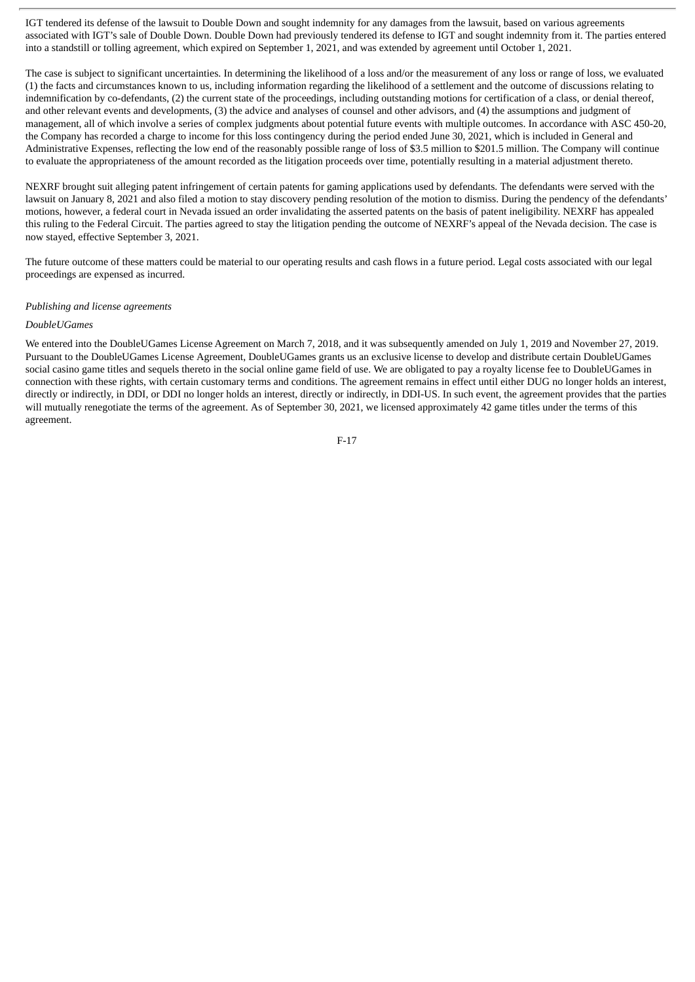IGT tendered its defense of the lawsuit to Double Down and sought indemnity for any damages from the lawsuit, based on various agreements associated with IGT's sale of Double Down. Double Down had previously tendered its defense to IGT and sought indemnity from it. The parties entered into a standstill or tolling agreement, which expired on September 1, 2021, and was extended by agreement until October 1, 2021.

The case is subject to significant uncertainties. In determining the likelihood of a loss and/or the measurement of any loss or range of loss, we evaluated (1) the facts and circumstances known to us, including information regarding the likelihood of a settlement and the outcome of discussions relating to indemnification by co-defendants, (2) the current state of the proceedings, including outstanding motions for certification of a class, or denial thereof, and other relevant events and developments, (3) the advice and analyses of counsel and other advisors, and (4) the assumptions and judgment of management, all of which involve a series of complex judgments about potential future events with multiple outcomes. In accordance with ASC 450-20, the Company has recorded a charge to income for this loss contingency during the period ended June 30, 2021, which is included in General and Administrative Expenses, reflecting the low end of the reasonably possible range of loss of \$3.5 million to \$201.5 million. The Company will continue to evaluate the appropriateness of the amount recorded as the litigation proceeds over time, potentially resulting in a material adjustment thereto.

NEXRF brought suit alleging patent infringement of certain patents for gaming applications used by defendants. The defendants were served with the lawsuit on January 8, 2021 and also filed a motion to stay discovery pending resolution of the motion to dismiss. During the pendency of the defendants' motions, however, a federal court in Nevada issued an order invalidating the asserted patents on the basis of patent ineligibility. NEXRF has appealed this ruling to the Federal Circuit. The parties agreed to stay the litigation pending the outcome of NEXRF's appeal of the Nevada decision. The case is now stayed, effective September 3, 2021.

The future outcome of these matters could be material to our operating results and cash flows in a future period. Legal costs associated with our legal proceedings are expensed as incurred.

#### *Publishing and license agreements*

#### *DoubleUGames*

We entered into the DoubleUGames License Agreement on March 7, 2018, and it was subsequently amended on July 1, 2019 and November 27, 2019. Pursuant to the DoubleUGames License Agreement, DoubleUGames grants us an exclusive license to develop and distribute certain DoubleUGames social casino game titles and sequels thereto in the social online game field of use. We are obligated to pay a royalty license fee to DoubleUGames in connection with these rights, with certain customary terms and conditions. The agreement remains in effect until either DUG no longer holds an interest, directly or indirectly, in DDI, or DDI no longer holds an interest, directly or indirectly, in DDI-US. In such event, the agreement provides that the parties will mutually renegotiate the terms of the agreement. As of September 30, 2021, we licensed approximately 42 game titles under the terms of this agreement.